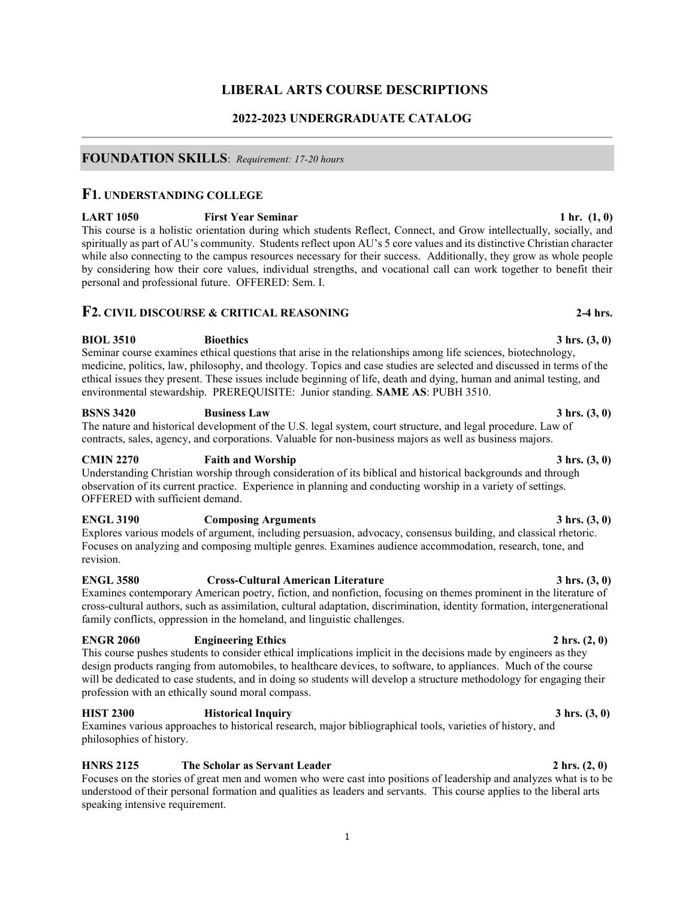## **LIBERAL ARTS COURSE DESCRIPTIONS**

## **2022-2023 UNDERGRADUATE CATALOG**

## **FOUNDATION SKILLS**:*Requirement: 17-20 hours*

## **F1. UNDERSTANDING COLLEGE**

**LART 1050 First Year Seminar 1 hr. (1, 0)** This course is a holistic orientation during which students Reflect, Connect, and Grow intellectually, socially, and spiritually as part of AU's community. Students reflect upon AU's 5 core values and its distinctive Christian character while also connecting to the campus resources necessary for their success. Additionally, they grow as whole people by considering how their core values, individual strengths, and vocational call can work together to benefit their personal and professional future. OFFERED: Sem. I.

## **F2. CIVIL DISCOURSE & CRITICAL REASONING 2-4 hrs.**

**BIOL 3510 Bioethics** 3 hrs. (3, 0) Seminar course examines ethical questions that arise in the relationships among life sciences, biotechnology, medicine, politics, law, philosophy, and theology. Topics and case studies are selected and discussed in terms of the ethical issues they present. These issues include beginning of life, death and dying, human and animal testing, and environmental stewardship. PREREQUISITE: Junior standing. **SAME AS**: PUBH 3510.

## **BSNS 3420 Business Law** 3 hrs. (3, 0)

The nature and historical development of the U.S. legal system, court structure, and legal procedure. Law of contracts, sales, agency, and corporations. Valuable for non-business majors as well as business majors.

## **CMIN 2270 Faith and Worship 3 hrs. (3, 0)**

Understanding Christian worship through consideration of its biblical and historical backgrounds and through observation of its current practice. Experience in planning and conducting worship in a variety of settings. OFFERED with sufficient demand.

## **ENGL 3190 Composing Arguments 3 hrs. (3, 0)**

Explores various models of argument, including persuasion, advocacy, consensus building, and classical rhetoric. Focuses on analyzing and composing multiple genres. Examines audience accommodation, research, tone, and revision.

## **ENGL 3580 Cross-Cultural American Literature 3 hrs. (3, 0)**

Examines contemporary American poetry, fiction, and nonfiction, focusing on themes prominent in the literature of cross-cultural authors, such as assimilation, cultural adaptation, discrimination, identity formation, intergenerational family conflicts, oppression in the homeland, and linguistic challenges.

## **ENGR 2060** Engineering Ethics 2 hrs. (2, 0)

This course pushes students to consider ethical implications implicit in the decisions made by engineers as they design products ranging from automobiles, to healthcare devices, to software, to appliances. Much of the course will be dedicated to case students, and in doing so students will develop a structure methodology for engaging their profession with an ethically sound moral compass.

## **HIST 2300 Historical Inquiry 3 hrs. (3, 0)**

Examines various approaches to historical research, major bibliographical tools, varieties of history, and philosophies of history.

## **HNRS 2125** The Scholar as Servant Leader 2 hrs. (2, 0)

Focuses on the stories of great men and women who were cast into positions of leadership and analyzes what is to be understood of their personal formation and qualities as leaders and servants. This course applies to the liberal arts speaking intensive requirement.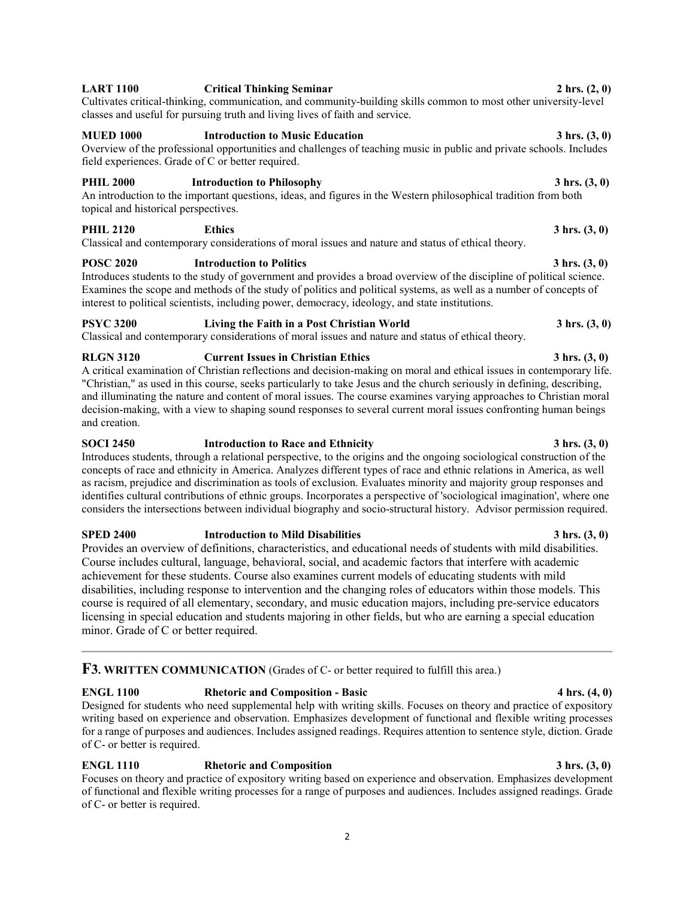## **LART 1100 Critical Thinking Seminar 2 hrs. (2, 0)**

Cultivates critical-thinking, communication, and community-building skills common to most other university-level classes and useful for pursuing truth and living lives of faith and service.

## **MUED 1000 Introduction to Music Education 3 hrs. (3, 0)**

Overview of the professional opportunities and challenges of teaching music in public and private schools. Includes field experiences. Grade of C or better required.

## **PHIL 2000** Introduction to Philosophy 3 hrs.  $(3, 0)$

An introduction to the important questions, ideas, and figures in the Western philosophical tradition from both topical and historical perspectives.

## **PHIL 2120 Ethics Ethics 3 hrs.** (3, 0)

Classical and contemporary considerations of moral issues and nature and status of ethical theory.

## **POSC 2020** Introduction to Politics 3 hrs. (3, 0)

Introduces students to the study of government and provides a broad overview of the discipline of political science. Examines the scope and methods of the study of politics and political systems, as well as a number of concepts of interest to political scientists, including power, democracy, ideology, and state institutions.

## **PSYC 3200** Living the Faith in a Post Christian World 3 hrs. (3, 0)

Classical and contemporary considerations of moral issues and nature and status of ethical theory.

## **RLGN 3120 Current Issues in Christian Ethics 3 hrs. (3, 0)**

A critical examination of Christian reflections and decision-making on moral and ethical issues in contemporary life. "Christian," as used in this course, seeks particularly to take Jesus and the church seriously in defining, describing, and illuminating the nature and content of moral issues. The course examines varying approaches to Christian moral decision-making, with a view to shaping sound responses to several current moral issues confronting human beings and creation.

# **SOCI 2450** Introduction to Race and Ethnicity 3 hrs.  $(3, 0)$

Introduces students, through a relational perspective, to the origins and the ongoing sociological construction of the concepts of race and ethnicity in America. Analyzes different types of race and ethnic relations in America, as well as racism, prejudice and discrimination as tools of exclusion. Evaluates minority and majority group responses and identifies cultural contributions of ethnic groups. Incorporates a perspective of 'sociological imagination', where one considers the intersections between individual biography and socio-structural history. Advisor permission required.

## **SPED 2400 Introduction to Mild Disabilities** 3 hrs.  $(3, 0)$

Provides an overview of definitions, characteristics, and educational needs of students with mild disabilities. Course includes cultural, language, behavioral, social, and academic factors that interfere with academic achievement for these students. Course also examines current models of educating students with mild disabilities, including response to intervention and the changing roles of educators within those models. This course is required of all elementary, secondary, and music education majors, including pre-service educators licensing in special education and students majoring in other fields, but who are earning a special education minor. Grade of C or better required.

## **F3. WRITTEN COMMUNICATION** (Grades of C- or better required to fulfill this area.)

## **ENGL 1100** Rhetoric and Composition - Basic 4 hrs.  $(4, 0)$

Designed for students who need supplemental help with writing skills. Focuses on theory and practice of expository writing based on experience and observation. Emphasizes development of functional and flexible writing processes for a range of purposes and audiences. Includes assigned readings. Requires attention to sentence style, diction. Grade of C- or better is required.

## **ENGL 1110 Rhetoric and Composition 3 hrs.** (3, 0)

Focuses on theory and practice of expository writing based on experience and observation. Emphasizes development of functional and flexible writing processes for a range of purposes and audiences. Includes assigned readings. Grade of C- or better is required.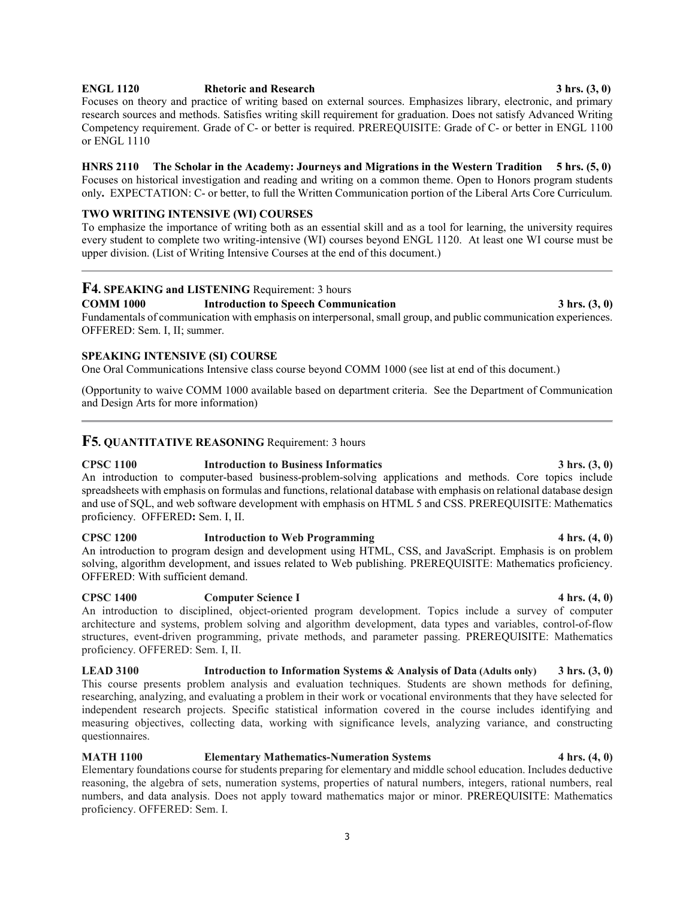## **ENGL 1120 Rhetoric and Research 3 hrs. (3, 0)**

Focuses on theory and practice of writing based on external sources. Emphasizes library, electronic, and primary research sources and methods. Satisfies writing skill requirement for graduation. Does not satisfy Advanced Writing Competency requirement. Grade of C- or better is required. PREREQUISITE: Grade of C- or better in ENGL 1100 or ENGL 1110

## **HNRS 2110 The Scholar in the Academy: Journeys and Migrations in the Western Tradition 5 hrs. (5, 0)** Focuses on historical investigation and reading and writing on a common theme. Open to Honors program students

only**.** EXPECTATION: C- or better, to full the Written Communication portion of the Liberal Arts Core Curriculum.

## **TWO WRITING INTENSIVE (WI) COURSES**

To emphasize the importance of writing both as an essential skill and as a tool for learning, the university requires every student to complete two writing-intensive (WI) courses beyond ENGL 1120. At least one WI course must be upper division. (List of Writing Intensive Courses at the end of this document.)

# **F4. SPEAKING and LISTENING Requirement: 3 hours<br>COMM 1000 <b>Introduction to Speech Community**

## **COMM 1000 Introduction to Speech Communication 3 hrs. (3, 0)**

Fundamentals of communication with emphasis on interpersonal, small group, and public communication experiences. OFFERED: Sem. I, II; summer.

## **SPEAKING INTENSIVE (SI) COURSE**

One Oral Communications Intensive class course beyond COMM 1000 (see list at end of this document.)

(Opportunity to waive COMM 1000 available based on department criteria. See the Department of Communication and Design Arts for more information)

## **F5. QUANTITATIVE REASONING** Requirement: 3 hours

**CPSC 1100 Introduction to Business Informatics 3 hrs. (3, 0)** An introduction to computer-based business-problem-solving applications and methods. Core topics include spreadsheets with emphasis on formulas and functions, relational database with emphasis on relational database design and use of SQL, and web software development with emphasis on HTML 5 and CSS. PREREQUISITE: Mathematics proficiency. OFFERED**:** Sem. I, II.

## **CPSC 1200 Introduction to Web Programming 4 hrs. (4, 0)**

An introduction to program design and development using HTML, CSS, and JavaScript. Emphasis is on problem solving, algorithm development, and issues related to Web publishing. PREREQUISITE: Mathematics proficiency. OFFERED: With sufficient demand.

## **CPSC 1400 Computer Science I 4 hrs. (4, 0)**

An introduction to disciplined, object-oriented program development. Topics include a survey of computer architecture and systems, problem solving and algorithm development, data types and variables, control-of-flow structures, event-driven programming, private methods, and parameter passing. PREREQUISITE: Mathematics proficiency. OFFERED: Sem. I, II.

**LEAD 3100 Introduction to Information Systems & Analysis of Data (Adults only) 3 hrs. (3, 0)** This course presents problem analysis and evaluation techniques. Students are shown methods for defining, researching, analyzing, and evaluating a problem in their work or vocational environments that they have selected for independent research projects. Specific statistical information covered in the course includes identifying and measuring objectives, collecting data, working with significance levels, analyzing variance, and constructing questionnaires.

## **MATH 1100 Elementary Mathematics-Numeration Systems 4 hrs. (4, 0)**

Elementary foundations course for students preparing for elementary and middle school education. Includes deductive reasoning, the algebra of sets, numeration systems, properties of natural numbers, integers, rational numbers, real numbers, and data analysis. Does not apply toward mathematics major or minor. PREREQUISITE: Mathematics proficiency. OFFERED: Sem. I.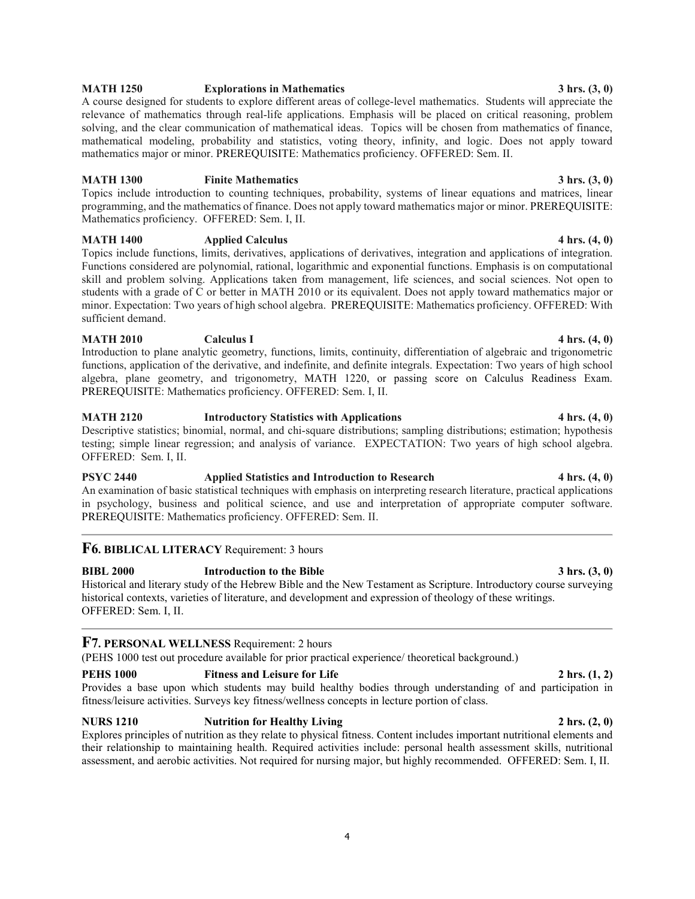## **MATH 1250 Explorations in Mathematics 3 hrs. (3, 0)**

A course designed for students to explore different areas of college-level mathematics. Students will appreciate the relevance of mathematics through real-life applications. Emphasis will be placed on critical reasoning, problem solving, and the clear communication of mathematical ideas. Topics will be chosen from mathematics of finance, mathematical modeling, probability and statistics, voting theory, infinity, and logic. Does not apply toward mathematics major or minor. PREREQUISITE: Mathematics proficiency. OFFERED: Sem. II.

## **MATH 1300** Finite Mathematics 3 hrs. (3, 0)

Topics include introduction to counting techniques, probability, systems of linear equations and matrices, linear programming, and the mathematics of finance. Does not apply toward mathematics major or minor. PREREQUISITE: Mathematics proficiency. OFFERED: Sem. I, II.

## **MATH 1400 Applied Calculus Applied Calculus 4 hrs.** (4, 0)

Topics include functions, limits, derivatives, applications of derivatives, integration and applications of integration. Functions considered are polynomial, rational, logarithmic and exponential functions. Emphasis is on computational skill and problem solving. Applications taken from management, life sciences, and social sciences. Not open to students with a grade of C or better in MATH 2010 or its equivalent. Does not apply toward mathematics major or minor. Expectation: Two years of high school algebra. PREREQUISITE: Mathematics proficiency. OFFERED: With sufficient demand.

## **MATH 2010 Calculus I Calculus I 4 hrs.** (4, 0)

Introduction to plane analytic geometry, functions, limits, continuity, differentiation of algebraic and trigonometric functions, application of the derivative, and indefinite, and definite integrals. Expectation: Two years of high school algebra, plane geometry, and trigonometry, MATH 1220, or passing score on Calculus Readiness Exam. PREREQUISITE: Mathematics proficiency. OFFERED: Sem. I, II.

## **MATH 2120 Introductory Statistics with Applications 4 hrs. (4, 0)** Descriptive statistics; binomial, normal, and chi-square distributions; sampling distributions; estimation; hypothesis testing; simple linear regression; and analysis of variance. EXPECTATION: Two years of high school algebra. OFFERED: Sem. I, II.

## **PSYC 2440** Applied Statistics and Introduction to Research 4 hrs.  $(4, 0)$

An examination of basic statistical techniques with emphasis on interpreting research literature, practical applications in psychology, business and political science, and use and interpretation of appropriate computer software. PREREQUISITE: Mathematics proficiency. OFFERED: Sem. II.

## **F6. BIBLICAL LITERACY** Requirement: 3 hours

**BIBL 2000 Introduction to the Bible 3 hrs. (3, 0)** Historical and literary study of the Hebrew Bible and the New Testament as Scripture. Introductory course surveying historical contexts, varieties of literature, and development and expression of theology of these writings. OFFERED: Sem. I, II.

## **F7. PERSONAL WELLNESS** Requirement: 2 hours

(PEHS 1000 test out procedure available for prior practical experience/ theoretical background.)

## **PEHS 1000** Fitness and Leisure for Life 2 hrs. (1, 2)

Provides a base upon which students may build healthy bodies through understanding of and participation in fitness/leisure activities. Surveys key fitness/wellness concepts in lecture portion of class.

## **NURS 1210 Nutrition for Healthy Living 2 hrs. (2, 0) 2 hrs. (2, 0)**

Explores principles of nutrition as they relate to physical fitness. Content includes important nutritional elements and their relationship to maintaining health. Required activities include: personal health assessment skills, nutritional assessment, and aerobic activities. Not required for nursing major, but highly recommended. OFFERED: Sem. I, II.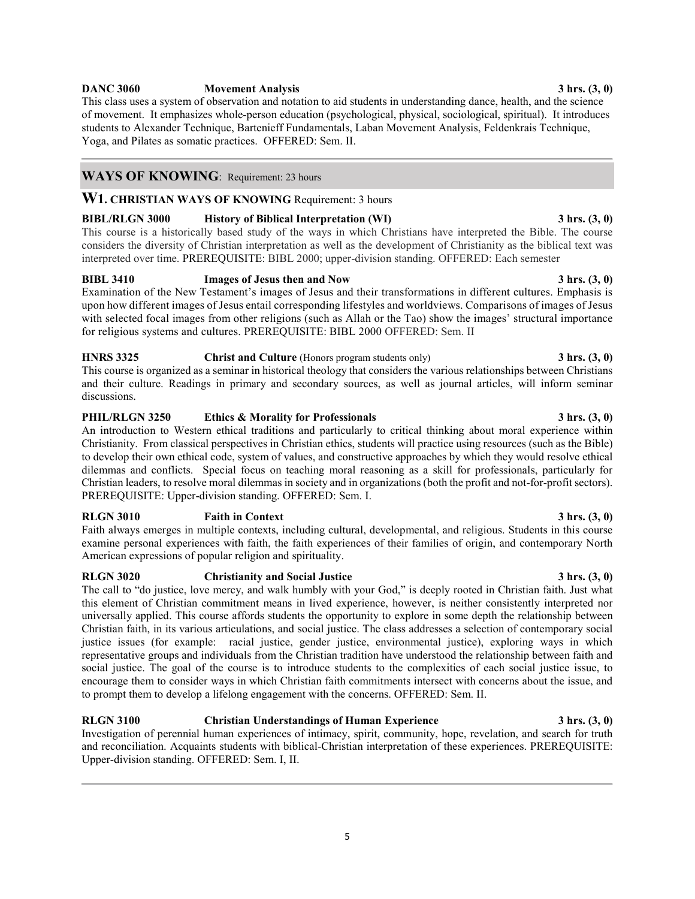## **DANC 3060 Movement Analysis 3 hrs. (3, 0)**

This class uses a system of observation and notation to aid students in understanding dance, health, and the science of movement. It emphasizes whole-person education (psychological, physical, sociological, spiritual). It introduces students to Alexander Technique, Bartenieff Fundamentals, Laban Movement Analysis, Feldenkrais Technique, Yoga, and Pilates as somatic practices. OFFERED: Sem. II.

## **WAYS OF KNOWING**:Requirement: 23 hours

**W1. CHRISTIAN WAYS OF KNOWING** Requirement: 3 hours

## **BIBL/RLGN 3000 History of Biblical Interpretation (WI) 3 hrs. (3, 0)**

This course is a historically based study of the ways in which Christians have interpreted the Bible. The course considers the diversity of Christian interpretation as well as the development of Christianity as the biblical text was interpreted over time. PREREQUISITE: BIBL 2000; upper-division standing. OFFERED: Each semester

## **BIBL 3410 Images of Jesus then and Now 3 hrs. (3, 0)**

Examination of the New Testament's images of Jesus and their transformations in different cultures. Emphasis is upon how different images of Jesus entail corresponding lifestyles and worldviews. Comparisons of images of Jesus with selected focal images from other religions (such as Allah or the Tao) show the images' structural importance for religious systems and cultures. PREREQUISITE: BIBL 2000 OFFERED: Sem. II

## **HNRS 3325 Christ and Culture** (Honors program students only) **3 hrs.** (3, 0) This course is organized as a seminar in historical theology that considers the various relationships between Christians and their culture. Readings in primary and secondary sources, as well as journal articles, will inform seminar discussions.

**PHIL/RLGN 3250 Ethics & Morality for Professionals 3 hrs. (3, 0)** An introduction to Western ethical traditions and particularly to critical thinking about moral experience within Christianity. From classical perspectives in Christian ethics, students will practice using resources (such as the Bible) to develop their own ethical code, system of values, and constructive approaches by which they would resolve ethical dilemmas and conflicts. Special focus on teaching moral reasoning as a skill for professionals, particularly for Christian leaders, to resolve moral dilemmas in society and in organizations (both the profit and not-for-profit sectors). PREREQUISITE: Upper-division standing. OFFERED: Sem. I.

## **RLGN 3010 Faith in Context 3 hrs. (3, 0)**

Faith always emerges in multiple contexts, including cultural, developmental, and religious. Students in this course examine personal experiences with faith, the faith experiences of their families of origin, and contemporary North American expressions of popular religion and spirituality.

## **RLGN 3020 Christianity and Social Justice 3 hrs. (3, 0)**

The call to "do justice, love mercy, and walk humbly with your God," is deeply rooted in Christian faith. Just what this element of Christian commitment means in lived experience, however, is neither consistently interpreted nor universally applied. This course affords students the opportunity to explore in some depth the relationship between Christian faith, in its various articulations, and social justice. The class addresses a selection of contemporary social justice issues (for example: racial justice, gender justice, environmental justice), exploring ways in which representative groups and individuals from the Christian tradition have understood the relationship between faith and social justice. The goal of the course is to introduce students to the complexities of each social justice issue, to encourage them to consider ways in which Christian faith commitments intersect with concerns about the issue, and to prompt them to develop a lifelong engagement with the concerns. OFFERED: Sem. II.

**RLGN 3100 Christian Understandings of Human Experience 3 hrs. (3, 0)** Investigation of perennial human experiences of intimacy, spirit, community, hope, revelation, and search for truth and reconciliation. Acquaints students with biblical-Christian interpretation of these experiences. PREREQUISITE: Upper-division standing. OFFERED: Sem. I, II.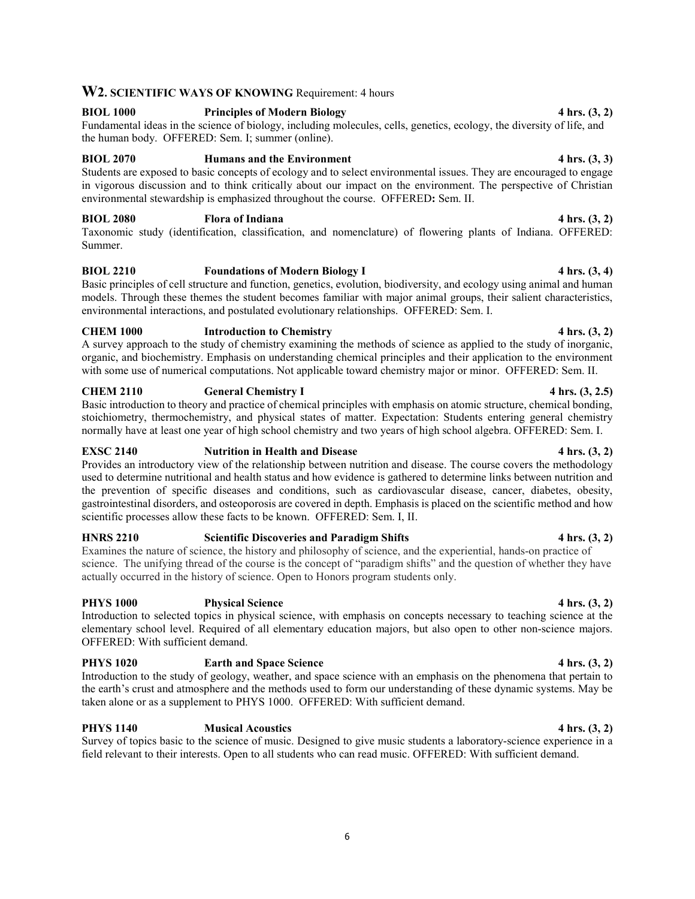## **W2. SCIENTIFIC WAYS OF KNOWING** Requirement: 4 hours

## **BIOL 1000 Principles of Modern Biology 4 hrs. (3, 2)** Fundamental ideas in the science of biology, including molecules, cells, genetics, ecology, the diversity of life, and the human body. OFFERED: Sem. I; summer (online).

## **BIOL 2070 Humans and the Environment 4 hrs. (3, 3)**

Students are exposed to basic concepts of ecology and to select environmental issues. They are encouraged to engage in vigorous discussion and to think critically about our impact on the environment. The perspective of Christian environmental stewardship is emphasized throughout the course. OFFERED**:** Sem. II.

## **BIOL 2080 Flora of Indiana 4 hrs. (3, 2)**

Taxonomic study (identification, classification, and nomenclature) of flowering plants of Indiana. OFFERED: Summer.

## **BIOL 2210 Foundations of Modern Biology I 4 hrs. (3, 4)**

Basic principles of cell structure and function, genetics, evolution, biodiversity, and ecology using animal and human models. Through these themes the student becomes familiar with major animal groups, their salient characteristics, environmental interactions, and postulated evolutionary relationships. OFFERED: Sem. I.

## **CHEM 1000 Introduction to Chemistry 4 hrs. (3, 2)**

A survey approach to the study of chemistry examining the methods of science as applied to the study of inorganic, organic, and biochemistry. Emphasis on understanding chemical principles and their application to the environment with some use of numerical computations. Not applicable toward chemistry major or minor. OFFERED: Sem. II.

## **CHEM 2110 General Chemistry I** 4 hrs. (3, 2.5)

Basic introduction to theory and practice of chemical principles with emphasis on atomic structure, chemical bonding, stoichiometry, thermochemistry, and physical states of matter. Expectation: Students entering general chemistry normally have at least one year of high school chemistry and two years of high school algebra. OFFERED: Sem. I.

## **EXSC** 2140 **Nutrition in Health and Disease** 4 hrs. (3, 2)

Provides an introductory view of the relationship between nutrition and disease. The course covers the methodology used to determine nutritional and health status and how evidence is gathered to determine links between nutrition and the prevention of specific diseases and conditions, such as cardiovascular disease, cancer, diabetes, obesity, gastrointestinal disorders, and osteoporosis are covered in depth. Emphasis is placed on the scientific method and how scientific processes allow these facts to be known. OFFERED: Sem. I, II.

## **HNRS 2210 Scientific Discoveries and Paradigm Shifts 4 hrs. (3, 2)**

Examines the nature of science, the history and philosophy of science, and the experiential, hands-on practice of science. The unifying thread of the course is the concept of "paradigm shifts" and the question of whether they have actually occurred in the history of science. Open to Honors program students only.

## **PHYS 1000 Physical Science 4 hrs. (3, 2)**

Introduction to selected topics in physical science, with emphasis on concepts necessary to teaching science at the elementary school level. Required of all elementary education majors, but also open to other non-science majors. OFFERED: With sufficient demand.

## **PHYS 1020 Earth and Space Science 4 hrs. (3, 2)**

Introduction to the study of geology, weather, and space science with an emphasis on the phenomena that pertain to the earth's crust and atmosphere and the methods used to form our understanding of these dynamic systems. May be taken alone or as a supplement to PHYS 1000. OFFERED: With sufficient demand.

## **PHYS 1140 Musical Acoustics 4 hrs. (3, 2)**

Survey of topics basic to the science of music. Designed to give music students a laboratory-science experience in a field relevant to their interests. Open to all students who can read music. OFFERED: With sufficient demand.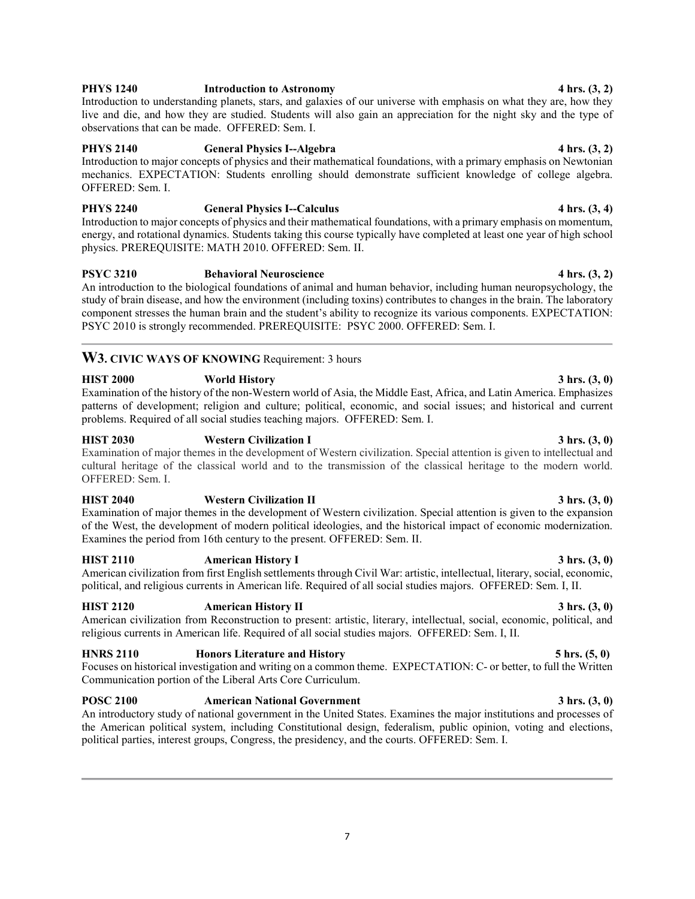## **PHYS 1240** Introduction to Astronomy 4 hrs.  $(3, 2)$

Introduction to understanding planets, stars, and galaxies of our universe with emphasis on what they are, how they live and die, and how they are studied. Students will also gain an appreciation for the night sky and the type of observations that can be made. OFFERED: Sem. I.

## **PHYS 2140 General Physics I--Algebra 4 hrs. (3, 2)**

Introduction to major concepts of physics and their mathematical foundations, with a primary emphasis on Newtonian mechanics. EXPECTATION: Students enrolling should demonstrate sufficient knowledge of college algebra. OFFERED: Sem. I.

## **PHYS 2240 General Physics I--Calculus 4 hrs. (3, 4)**

Introduction to major concepts of physics and their mathematical foundations, with a primary emphasis on momentum, energy, and rotational dynamics. Students taking this course typically have completed at least one year of high school physics. PREREQUISITE: MATH 2010. OFFERED: Sem. II.

## PSYC 3210 **Behavioral Neuroscience** 4 hrs.  $(3, 2)$

An introduction to the biological foundations of animal and human behavior, including human neuropsychology, the study of brain disease, and how the environment (including toxins) contributes to changes in the brain. The laboratory component stresses the human brain and the student's ability to recognize its various components. EXPECTATION: PSYC 2010 is strongly recommended. PREREQUISITE: PSYC 2000. OFFERED: Sem. I.

## W3. CIVIC WAYS OF KNOWING Requirement: 3 hours

## **HIST 2000 World History 3 hrs. (3, 0)**

Examination of the history of the non-Western world of Asia, the Middle East, Africa, and Latin America. Emphasizes patterns of development; religion and culture; political, economic, and social issues; and historical and current problems. Required of all social studies teaching majors. OFFERED: Sem. I.

## **HIST 2030 Western Civilization I 3 hrs. (3, 0)**

Examination of major themes in the development of Western civilization. Special attention is given to intellectual and cultural heritage of the classical world and to the transmission of the classical heritage to the modern world. OFFERED: Sem. I.

## **HIST 2040 Western Civilization II 3 hrs. (3, 0)**

Examination of major themes in the development of Western civilization. Special attention is given to the expansion of the West, the development of modern political ideologies, and the historical impact of economic modernization. Examines the period from 16th century to the present. OFFERED: Sem. II.

## **HIST 2110 American History I 3 hrs. (3, 0)**

American civilization from first English settlements through Civil War: artistic, intellectual, literary, social, economic, political, and religious currents in American life. Required of all social studies majors. OFFERED: Sem. I, II.

## **HIST 2120 American History II 3 hrs. (3, 0)**

American civilization from Reconstruction to present: artistic, literary, intellectual, social, economic, political, and religious currents in American life. Required of all social studies majors. OFFERED: Sem. I, II.

## **HNRS 2110 Honors Literature and History 5 hrs. (5, 0)**

Focuses on historical investigation and writing on a common theme. EXPECTATION: C- or better, to full the Written Communication portion of the Liberal Arts Core Curriculum.

## **POSC 2100 American National Government 3 hrs. (3, 0)**

An introductory study of national government in the United States. Examines the major institutions and processes of the American political system, including Constitutional design, federalism, public opinion, voting and elections, political parties, interest groups, Congress, the presidency, and the courts. OFFERED: Sem. I.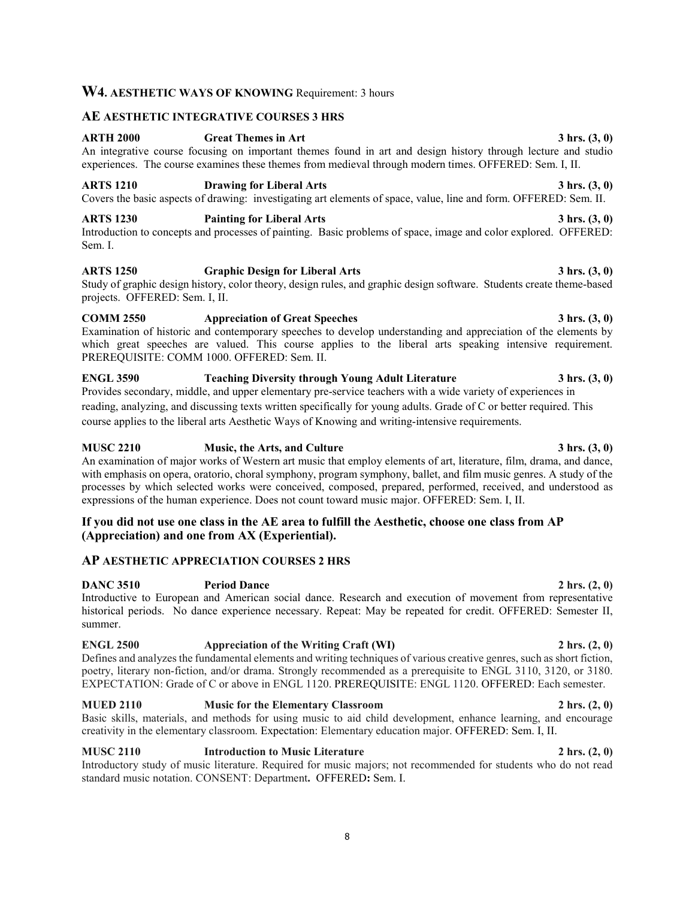## **W4. AESTHETIC WAYS OF KNOWING** Requirement: 3 hours

## **AE AESTHETIC INTEGRATIVE COURSES 3 HRS**

## **ARTH 2000 Great Themes in Art 3 hrs. (3, 0)**

An integrative course focusing on important themes found in art and design history through lecture and studio experiences. The course examines these themes from medieval through modern times. OFFERED: Sem. I, II.

## **ARTS 1210 Drawing for Liberal Arts 3 hrs. (3, 0)** Covers the basic aspects of drawing: investigating art elements of space, value, line and form. OFFERED: Sem. II.

**ARTS 1230 Painting for Liberal Arts 3 hrs. (3, 0)** Introduction to concepts and processes of painting. Basic problems of space, image and color explored. OFFERED: Sem. I.

## **ARTS 1250 Graphic Design for Liberal Arts 3 hrs. (3, 0)**

Study of graphic design history, color theory, design rules, and graphic design software. Students create theme-based projects. OFFERED: Sem. I, II.

## **COMM 2550 Appreciation of Great Speeches 3 hrs. (3, 0)** Examination of historic and contemporary speeches to develop understanding and appreciation of the elements by which great speeches are valued. This course applies to the liberal arts speaking intensive requirement. PREREQUISITE: COMM 1000. OFFERED: Sem. II.

**ENGL 3590 Teaching Diversity through Young Adult Literature 3 hrs. (3, 0)** Provides secondary, middle, and upper elementary pre-service teachers with a wide variety of experiences in reading, analyzing, and discussing texts written specifically for young adults. Grade of C or better required. This course applies to the liberal arts Aesthetic Ways of Knowing and writing-intensive requirements.

## **MUSC 2210 Music, the Arts, and Culture 3 hrs. (3, 0)**

An examination of major works of Western art music that employ elements of art, literature, film, drama, and dance, with emphasis on opera, oratorio, choral symphony, program symphony, ballet, and film music genres. A study of the processes by which selected works were conceived, composed, prepared, performed, received, and understood as expressions of the human experience. Does not count toward music major. OFFERED: Sem. I, II.

## **If you did not use one class in the AE area to fulfill the Aesthetic, choose one class from AP (Appreciation) and one from AX (Experiential).**

## **AP AESTHETIC APPRECIATION COURSES 2 HRS**

**DANC 3510 Period Dance 2 hrs. (2, 0)** Introductive to European and American social dance. Research and execution of movement from representative historical periods. No dance experience necessary. Repeat: May be repeated for credit. OFFERED: Semester II, summer.

## **ENGL 2500 Appreciation of the Writing Craft (WI) 2 hrs. (2, 0)**

Defines and analyzes the fundamental elements and writing techniques of various creative genres, such as short fiction, poetry, literary non-fiction, and/or drama. Strongly recommended as a prerequisite to ENGL 3110, 3120, or 3180. EXPECTATION: Grade of C or above in ENGL 1120. PREREQUISITE: ENGL 1120. OFFERED: Each semester.

## **MUED 2110 Music for the Elementary Classroom 2 hrs. (2, 0)**

Basic skills, materials, and methods for using music to aid child development, enhance learning, and encourage creativity in the elementary classroom. Expectation: Elementary education major. OFFERED: Sem. I, II.

## **MUSC 2110 Introduction to Music Literature 2 hrs. (2, 0)**

Introductory study of music literature. Required for music majors; not recommended for students who do not read standard music notation. CONSENT: Department**.** OFFERED**:** Sem. I.

## 8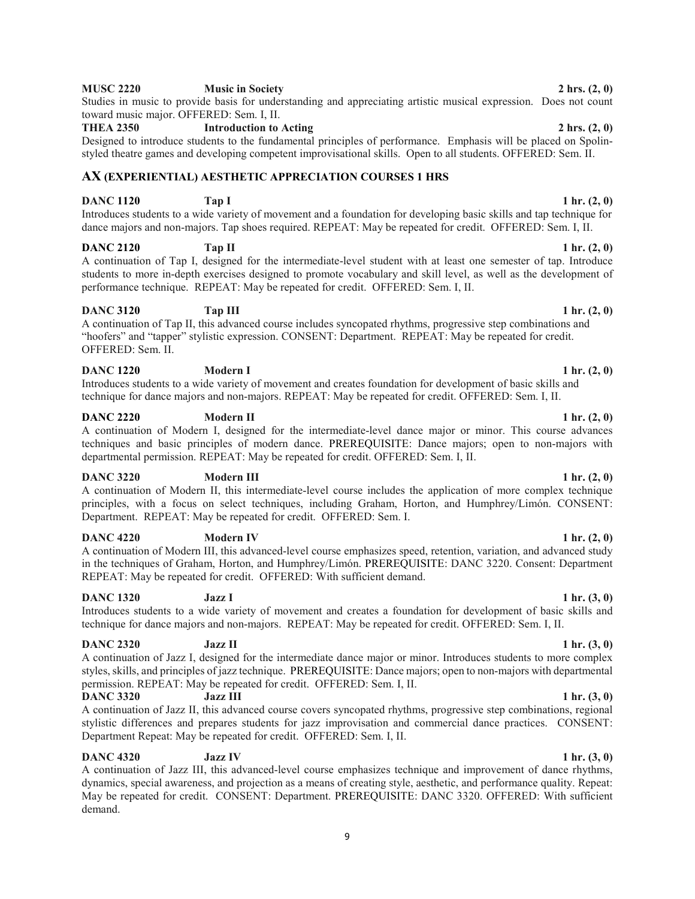## **MUSC 2220 Music in Society 2 hrs. (2, 0)**

## Studies in music to provide basis for understanding and appreciating artistic musical expression. Does not count toward music major. OFFERED: Sem. I, II. **THEA 2350 Introduction to Acting 2 hrs. (2, 0)**

Designed to introduce students to the fundamental principles of performance. Emphasis will be placed on Spolinstyled theatre games and developing competent improvisational skills. Open to all students. OFFERED: Sem. II.

## **AX (EXPERIENTIAL) AESTHETIC APPRECIATION COURSES 1 HRS**

## **DANC 1120 Tap I** 1 hr. (2, 0) Introduces students to a wide variety of movement and a foundation for developing basic skills and tap technique for dance majors and non-majors. Tap shoes required. REPEAT: May be repeated for credit. OFFERED: Sem. I, II.

## **DANC 2120 Tap II** 1 hr. (2, 0)

A continuation of Tap I, designed for the intermediate-level student with at least one semester of tap. Introduce students to more in-depth exercises designed to promote vocabulary and skill level, as well as the development of performance technique. REPEAT: May be repeated for credit. OFFERED: Sem. I, II.

## **DANC 3120 Tap III 1 hr.** (2, 0)

A continuation of Tap II, this advanced course includes syncopated rhythms, progressive step combinations and "hoofers" and "tapper" stylistic expression. CONSENT: Department. REPEAT: May be repeated for credit. OFFERED: Sem. II.

## **DANC 1220 Modern I 1 hr.** (2, 0)

Introduces students to a wide variety of movement and creates foundation for development of basic skills and technique for dance majors and non-majors. REPEAT: May be repeated for credit. OFFERED: Sem. I, II.

## **DANC 2220 Modern II 1 hr.** (2, 0)

A continuation of Modern I, designed for the intermediate-level dance major or minor. This course advances techniques and basic principles of modern dance. PREREQUISITE: Dance majors; open to non-majors with departmental permission. REPEAT: May be repeated for credit. OFFERED: Sem. I, II.

## **DANC 3220 Modern III** 1 hr. (2, 0)

A continuation of Modern II, this intermediate-level course includes the application of more complex technique principles, with a focus on select techniques, including Graham, Horton, and Humphrey/Limón. CONSENT: Department. REPEAT: May be repeated for credit. OFFERED: Sem. I.

## **DANC 4220 Modern IV 1 hr. (2, 0)**

A continuation of Modern III, this advanced-level course emphasizes speed, retention, variation, and advanced study in the techniques of Graham, Horton, and Humphrey/Limón. PREREQUISITE: DANC 3220. Consent: Department REPEAT: May be repeated for credit. OFFERED: With sufficient demand.

## **DANC 1320 Jazz I** 1 hr. (3, 0)

## Introduces students to a wide variety of movement and creates a foundation for development of basic skills and technique for dance majors and non-majors. REPEAT: May be repeated for credit. OFFERED: Sem. I, II.

## **DANC 2320 Jazz II** 1 hr. (3, 0)

A continuation of Jazz I, designed for the intermediate dance major or minor. Introduces students to more complex styles, skills, and principles of jazz technique. PREREQUISITE: Dance majors; open to non-majors with departmental permission. REPEAT: May be repeated for credit. OFFERED: Sem. I, II.

## **DANC 3320 Jazz III 1 hr.** (3, 0)

A continuation of Jazz II, this advanced course covers syncopated rhythms, progressive step combinations, regional stylistic differences and prepares students for jazz improvisation and commercial dance practices. CONSENT: Department Repeat: May be repeated for credit. OFFERED: Sem. I, II.

## **DANC 4320 Jazz IV 1 hr. (3, 0)**

A continuation of Jazz III, this advanced-level course emphasizes technique and improvement of dance rhythms, dynamics, special awareness, and projection as a means of creating style, aesthetic, and performance quality. Repeat: May be repeated for credit. CONSENT: Department. PREREQUISITE: DANC 3320. OFFERED: With sufficient demand.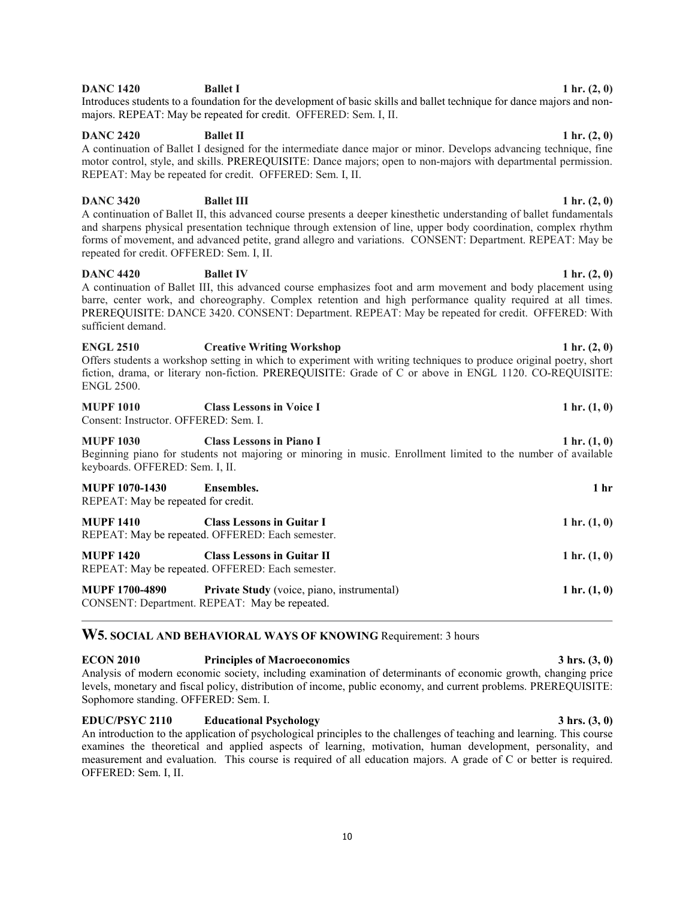## **DANC 1420 Ballet I 1 hr.** (2, 0)

Introduces students to a foundation for the development of basic skills and ballet technique for dance majors and nonmajors. REPEAT: May be repeated for credit. OFFERED: Sem. I, II.

## **DANC 2420 Ballet II 1 hr.** (2, 0)

A continuation of Ballet I designed for the intermediate dance major or minor. Develops advancing technique, fine motor control, style, and skills. PREREQUISITE: Dance majors; open to non-majors with departmental permission. REPEAT: May be repeated for credit. OFFERED: Sem. I, II.

## **DANC 3420 Ballet III** 1 hr. (2, 0)

A continuation of Ballet II, this advanced course presents a deeper kinesthetic understanding of ballet fundamentals and sharpens physical presentation technique through extension of line, upper body coordination, complex rhythm forms of movement, and advanced petite, grand allegro and variations. CONSENT: Department. REPEAT: May be repeated for credit. OFFERED: Sem. I, II.

## **DANC 4420 Ballet IV 1 hr.** (2, 0)

A continuation of Ballet III, this advanced course emphasizes foot and arm movement and body placement using barre, center work, and choreography. Complex retention and high performance quality required at all times. PREREQUISITE: DANCE 3420. CONSENT: Department. REPEAT: May be repeated for credit. OFFERED: With sufficient demand.

## **ENGL 2510 Creative Writing Workshop 1 hr. (2, 0)** Offers students a workshop setting in which to experiment with writing techniques to produce original poetry, short fiction, drama, or literary non-fiction. PREREQUISITE: Grade of C or above in ENGL 1120. CO-REQUISITE: ENGL 2500.

| <b>MUPF 1010</b>                      | <b>Class Lessons in Voice I</b> | 1 hr. $(1, 0)$ |
|---------------------------------------|---------------------------------|----------------|
| Consent: Instructor. OFFERED: Sem. I. |                                 |                |

## **MUPF 1030 Class Lessons in Piano I 1 hr. (1, 0)** Beginning piano for students not majoring or minoring in music. Enrollment limited to the number of available keyboards. OFFERED: Sem. I, II.

| <b>MUPF 1070-1430</b>               | Ensembles.                                       | 1 <sub>hr</sub> |
|-------------------------------------|--------------------------------------------------|-----------------|
| REPEAT: May be repeated for credit. |                                                  |                 |
| <b>MUPF 1410</b>                    | <b>Class Lessons in Guitar I</b>                 | 1 hr. $(1, 0)$  |
|                                     | REPEAT: May be repeated. OFFERED: Each semester. |                 |
| <b>MUPF 1420</b>                    | <b>Class Lessons in Guitar II</b>                | 1 hr. $(1, 0)$  |
|                                     | REPEAT: May be repeated. OFFERED: Each semester. |                 |
| <b>MUPF 1700-4890</b>               | Private Study (voice, piano, instrumental)       | 1 hr. $(1, 0)$  |
|                                     | CONSENT: Department. REPEAT: May be repeated.    |                 |

## **W5. SOCIAL AND BEHAVIORAL WAYS OF KNOWING** Requirement: 3 hours

**ECON 2010 Principles of Macroeconomics 3 hrs. (3, 0)** Analysis of modern economic society, including examination of determinants of economic growth, changing price levels, monetary and fiscal policy, distribution of income, public economy, and current problems. PREREQUISITE: Sophomore standing. OFFERED: Sem. I.

**EDUC/PSYC 2110 Educational Psychology 3 hrs. (3, 0)** An introduction to the application of psychological principles to the challenges of teaching and learning. This course examines the theoretical and applied aspects of learning, motivation, human development, personality, and measurement and evaluation. This course is required of all education majors. A grade of C or better is required. OFFERED: Sem. I, II.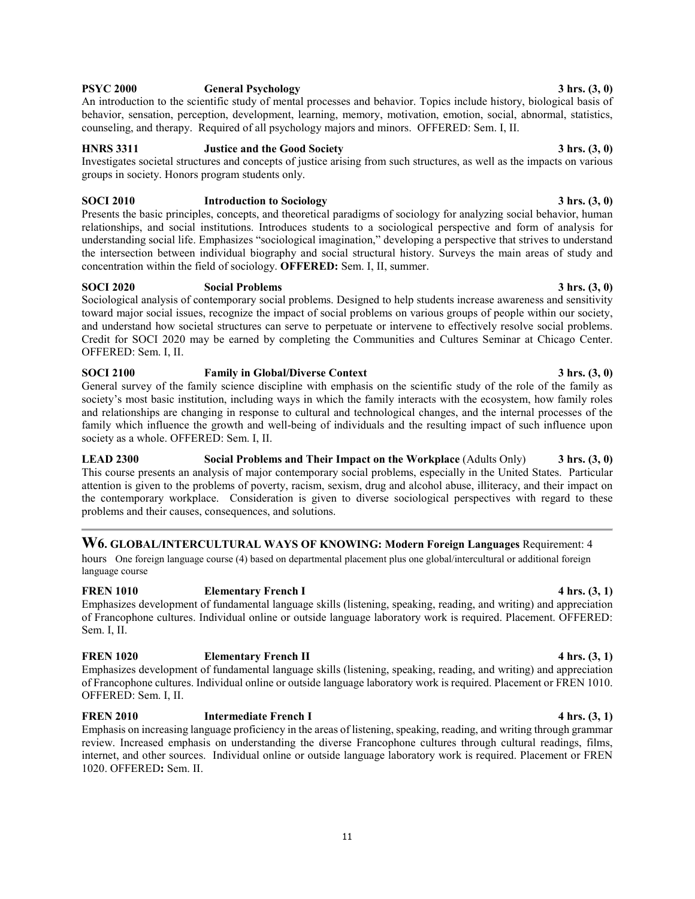**LEAD 2300 Social Problems and Their Impact on the Workplace** (Adults Only) **3 hrs. (3, 0)** This course presents an analysis of major contemporary social problems, especially in the United States. Particular attention is given to the problems of poverty, racism, sexism, drug and alcohol abuse, illiteracy, and their impact on the contemporary workplace. Consideration is given to diverse sociological perspectives with regard to these

**W6. GLOBAL/INTERCULTURAL WAYS OF KNOWING: Modern Foreign Languages** Requirement: 4

hours One foreign language course (4) based on departmental placement plus one global/intercultural or additional foreign language course

**FREN 1010 Elementary French I 4 hrs. (3, 1)** Emphasizes development of fundamental language skills (listening, speaking, reading, and writing) and appreciation of Francophone cultures. Individual online or outside language laboratory work is required. Placement. OFFERED: Sem. I, II.

## **FREN 1020 Elementary French II 4 hrs. (3, 1)**

Emphasizes development of fundamental language skills (listening, speaking, reading, and writing) and appreciation of Francophone cultures. Individual online or outside language laboratory work is required. Placement or FREN 1010. OFFERED: Sem. I, II.

**FREN 2010 Intermediate French I 4 hrs. (3, 1)** Emphasis on increasing language proficiency in the areas of listening, speaking, reading, and writing through grammar review. Increased emphasis on understanding the diverse Francophone cultures through cultural readings, films, internet, and other sources. Individual online or outside language laboratory work is required. Placement or FREN 1020. OFFERED**:** Sem. II.

Presents the basic principles, concepts, and theoretical paradigms of sociology for analyzing social behavior, human relationships, and social institutions. Introduces students to a sociological perspective and form of analysis for understanding social life. Emphasizes "sociological imagination," developing a perspective that strives to understand the intersection between individual biography and social structural history. Surveys the main areas of study and concentration within the field of sociology. **OFFERED:** Sem. I, II, summer.

## **SOCI 2020 Social Problems 3 hrs. (3, 0)**

Sociological analysis of contemporary social problems. Designed to help students increase awareness and sensitivity toward major social issues, recognize the impact of social problems on various groups of people within our society, and understand how societal structures can serve to perpetuate or intervene to effectively resolve social problems. Credit for SOCI 2020 may be earned by completing the Communities and Cultures Seminar at Chicago Center. OFFERED: Sem. I, II.

General survey of the family science discipline with emphasis on the scientific study of the role of the family as

society's most basic institution, including ways in which the family interacts with the ecosystem, how family roles and relationships are changing in response to cultural and technological changes, and the internal processes of the family which influence the growth and well-being of individuals and the resulting impact of such influence upon society as a whole. OFFERED: Sem. I, II.

problems and their causes, consequences, and solutions.

An introduction to the scientific study of mental processes and behavior. Topics include history, biological basis of behavior, sensation, perception, development, learning, memory, motivation, emotion, social, abnormal, statistics, counseling, and therapy. Required of all psychology majors and minors. OFFERED: Sem. I, II.

## **HNRS 3311 Justice and the Good Society** 3 hrs. (3, 0)

Investigates societal structures and concepts of justice arising from such structures, as well as the impacts on various groups in society. Honors program students only.

## **SOCI 2010** Introduction to Sociology **3 hrs.** (3, 0)

## 11

## **SOCI 2100 Family in Global/Diverse Context 3 hrs. (3, 0)**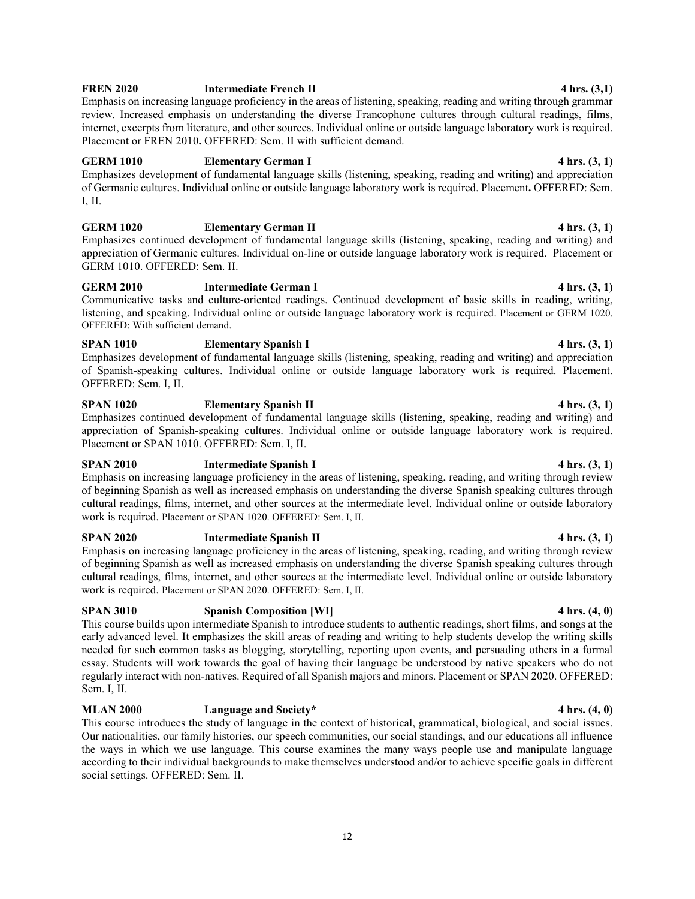## **FREN 2020 Intermediate French II 4 hrs. (3,1)**

Emphasis on increasing language proficiency in the areas of listening, speaking, reading and writing through grammar review. Increased emphasis on understanding the diverse Francophone cultures through cultural readings, films, internet, excerpts from literature, and other sources. Individual online or outside language laboratory work is required. Placement or FREN 2010. OFFERED: Sem. II with sufficient demand.

## **GERM 1010 Elementary German I 4 hrs. (3, 1)**

Emphasizes development of fundamental language skills (listening, speaking, reading and writing) and appreciation of Germanic cultures. Individual online or outside language laboratory work is required. Placement**.** OFFERED: Sem. I, II.

## **GERM 1020 Elementary German II 4 hrs. (3, 1)**

Emphasizes continued development of fundamental language skills (listening, speaking, reading and writing) and appreciation of Germanic cultures. Individual on-line or outside language laboratory work is required. Placement or GERM 1010. OFFERED: Sem. II.

## **GERM 2010 Intermediate German I 4 hrs. (3, 1)**

Communicative tasks and culture-oriented readings. Continued development of basic skills in reading, writing, listening, and speaking. Individual online or outside language laboratory work is required. Placement or GERM 1020. OFFERED: With sufficient demand.

## **SPAN 1010 Elementary Spanish I 4 hrs. (3, 1)**

Emphasizes development of fundamental language skills (listening, speaking, reading and writing) and appreciation of Spanish-speaking cultures. Individual online or outside language laboratory work is required. Placement. OFFERED: Sem. I, II.

## **SPAN 1020 Elementary Spanish II 4 hrs. (3, 1)**

Emphasizes continued development of fundamental language skills (listening, speaking, reading and writing) and appreciation of Spanish-speaking cultures. Individual online or outside language laboratory work is required. Placement or SPAN 1010. OFFERED: Sem. I, II.

## **SPAN 2010 Intermediate Spanish I 4 hrs. (3, 1)**

Emphasis on increasing language proficiency in the areas of listening, speaking, reading, and writing through review of beginning Spanish as well as increased emphasis on understanding the diverse Spanish speaking cultures through cultural readings, films, internet, and other sources at the intermediate level. Individual online or outside laboratory work is required. Placement or SPAN 1020. OFFERED: Sem. I, II.

## **SPAN 2020 Intermediate Spanish II 4 hrs. (3, 1)**

Emphasis on increasing language proficiency in the areas of listening, speaking, reading, and writing through review of beginning Spanish as well as increased emphasis on understanding the diverse Spanish speaking cultures through cultural readings, films, internet, and other sources at the intermediate level. Individual online or outside laboratory work is required. Placement or SPAN 2020. OFFERED: Sem. I, II.

## **SPAN 3010 Spanish Composition [WI] 4 hrs. (4, 0)**

This course builds upon intermediate Spanish to introduce students to authentic readings, short films, and songs at the early advanced level. It emphasizes the skill areas of reading and writing to help students develop the writing skills needed for such common tasks as blogging, storytelling, reporting upon events, and persuading others in a formal essay. Students will work towards the goal of having their language be understood by native speakers who do not regularly interact with non-natives. Required of all Spanish majors and minors. Placement or SPAN 2020. OFFERED: Sem. I, II.

## **MLAN 2000 Language and Society\* 4 hrs. (4, 0)**

This course introduces the study of language in the context of historical, grammatical, biological, and social issues. Our nationalities, our family histories, our speech communities, our social standings, and our educations all influence the ways in which we use language. This course examines the many ways people use and manipulate language according to their individual backgrounds to make themselves understood and/or to achieve specific goals in different social settings. OFFERED: Sem. II.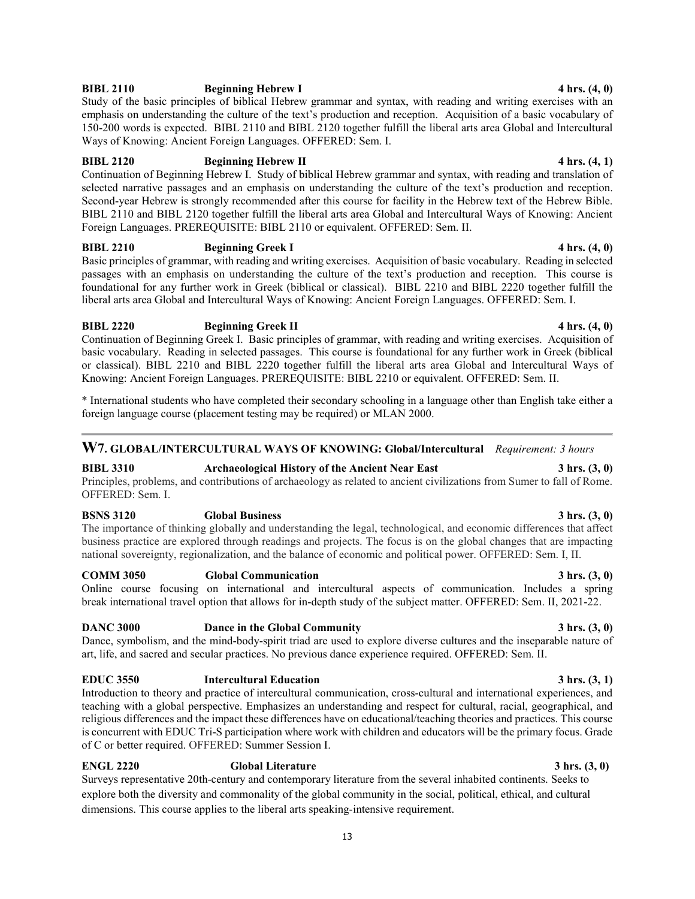## **BIBL 2110 Beginning Hebrew I 4 hrs.** (4, 0)

Study of the basic principles of biblical Hebrew grammar and syntax, with reading and writing exercises with an emphasis on understanding the culture of the text's production and reception. Acquisition of a basic vocabulary of 150-200 words is expected. BIBL 2110 and BIBL 2120 together fulfill the liberal arts area Global and Intercultural Ways of Knowing: Ancient Foreign Languages. OFFERED: Sem. I.

## **BIBL 2120 Beginning Hebrew II 4 hrs. (4, 1)**

Continuation of Beginning Hebrew I. Study of biblical Hebrew grammar and syntax, with reading and translation of selected narrative passages and an emphasis on understanding the culture of the text's production and reception. Second-year Hebrew is strongly recommended after this course for facility in the Hebrew text of the Hebrew Bible. BIBL 2110 and BIBL 2120 together fulfill the liberal arts area Global and Intercultural Ways of Knowing: Ancient Foreign Languages. PREREQUISITE: BIBL 2110 or equivalent. OFFERED: Sem. II.

## **BIBL 2210 Beginning Greek I 4 hrs. (4, 0)**

Basic principles of grammar, with reading and writing exercises. Acquisition of basic vocabulary. Reading in selected passages with an emphasis on understanding the culture of the text's production and reception. This course is foundational for any further work in Greek (biblical or classical). BIBL 2210 and BIBL 2220 together fulfill the liberal arts area Global and Intercultural Ways of Knowing: Ancient Foreign Languages. OFFERED: Sem. I.

## **BIBL 2220 Beginning Greek II 4 hrs. (4, 0)**

Continuation of Beginning Greek I. Basic principles of grammar, with reading and writing exercises. Acquisition of basic vocabulary. Reading in selected passages. This course is foundational for any further work in Greek (biblical or classical). BIBL 2210 and BIBL 2220 together fulfill the liberal arts area Global and Intercultural Ways of Knowing: Ancient Foreign Languages. PREREQUISITE: BIBL 2210 or equivalent. OFFERED: Sem. II.

\* International students who have completed their secondary schooling in a language other than English take either a foreign language course (placement testing may be required) or MLAN 2000.

## **W7. GLOBAL/INTERCULTURAL WAYS OF KNOWING: Global/Intercultural** *Requirement: 3 hours*

**BIBL 3310 Archaeological History of the Ancient Near East 3 hrs. (3, 0)** Principles, problems, and contributions of archaeology as related to ancient civilizations from Sumer to fall of Rome. OFFERED: Sem. I.

## **BSNS 3120 Global Business 3 hrs. (3, 0)**

The importance of thinking globally and understanding the legal, technological, and economic differences that affect business practice are explored through readings and projects. The focus is on the global changes that are impacting national sovereignty, regionalization, and the balance of economic and political power. OFFERED: Sem. I, II.

## **COMM 3050 Global Communication 3 hrs. (3, 0)**

Online course focusing on international and intercultural aspects of communication. Includes a spring break international travel option that allows for in-depth study of the subject matter. OFFERED: Sem. II, 2021-22.

## **DANC 3000 Dance in the Global Community 3 hrs. (3, 0)**

Dance, symbolism, and the mind-body-spirit triad are used to explore diverse cultures and the inseparable nature of art, life, and sacred and secular practices. No previous dance experience required. OFFERED: Sem. II.

## **EDUC 3550 Intercultural Education 3 hrs. (3, 1)**

Introduction to theory and practice of intercultural communication, cross-cultural and international experiences, and teaching with a global perspective. Emphasizes an understanding and respect for cultural, racial, geographical, and religious differences and the impact these differences have on educational/teaching theories and practices. This course is concurrent with EDUC Tri-S participation where work with children and educators will be the primary focus. Grade of C or better required. OFFERED: Summer Session I.

## **ENGL 2220 Global Literature 3 hrs. (3, 0)**

Surveys representative 20th-century and contemporary literature from the several inhabited continents. Seeks to explore both the diversity and commonality of the global community in the social, political, ethical, and cultural dimensions. This course applies to the liberal arts speaking-intensive requirement.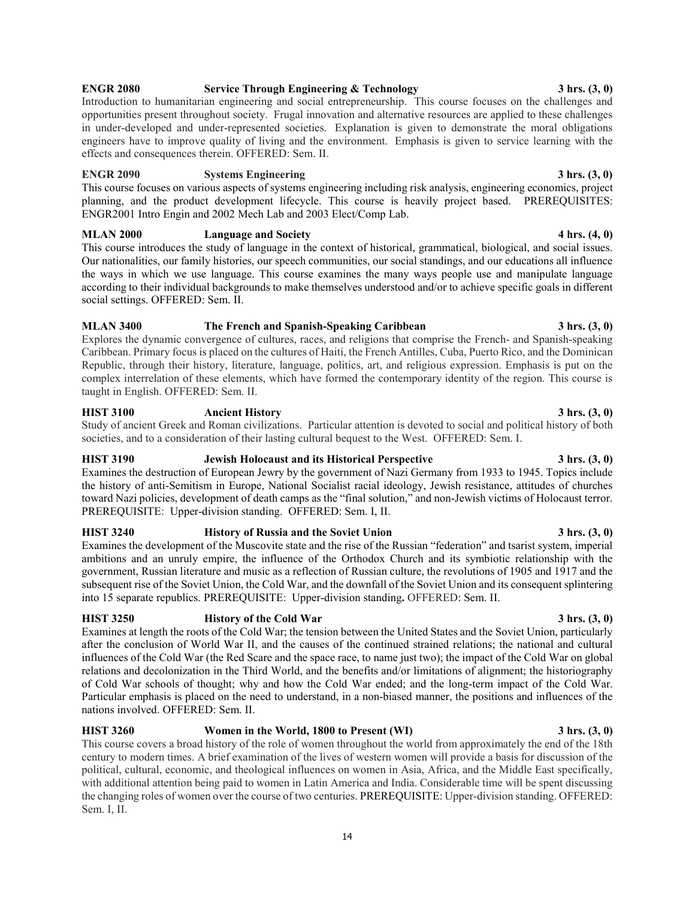## **ENGR 2080 Service Through Engineering & Technology 3 hrs. (3, 0)**

Introduction to humanitarian engineering and social entrepreneurship. This course focuses on the challenges and opportunities present throughout society. Frugal innovation and alternative resources are applied to these challenges in under-developed and under-represented societies. Explanation is given to demonstrate the moral obligations engineers have to improve quality of living and the environment. Emphasis is given to service learning with the effects and consequences therein. OFFERED: Sem. II.

## **ENGR 2090 Systems Engineering 3 hrs. (3, 0)**

This course focuses on various aspects of systems engineering including risk analysis, engineering economics, project planning, and the product development lifecycle. This course is heavily project based. PREREQUISITES: ENGR2001 Intro Engin and 2002 Mech Lab and 2003 Elect/Comp Lab.

## **MLAN 2000 Language and Society 4 hrs. (4, 0)**

This course introduces the study of language in the context of historical, grammatical, biological, and social issues. Our nationalities, our family histories, our speech communities, our social standings, and our educations all influence the ways in which we use language. This course examines the many ways people use and manipulate language according to their individual backgrounds to make themselves understood and/or to achieve specific goals in different social settings. OFFERED: Sem. II.

## **MLAN 3400 The French and Spanish-Speaking Caribbean 3 hrs. (3, 0)**

Explores the dynamic convergence of cultures, races, and religions that comprise the French- and Spanish-speaking Caribbean. Primary focus is placed on the cultures of Haiti, the French Antilles, Cuba, Puerto Rico, and the Dominican Republic, through their history, literature, language, politics, art, and religious expression. Emphasis is put on the complex interrelation of these elements, which have formed the contemporary identity of the region. This course is taught in English. OFFERED: Sem. II.

## **HIST 3100 Ancient History 3 hrs. (3, 0)**

Study of ancient Greek and Roman civilizations. Particular attention is devoted to social and political history of both societies, and to a consideration of their lasting cultural bequest to the West. OFFERED: Sem. I.

## **HIST 3190 Jewish Holocaust and its Historical Perspective 3 hrs. (3, 0)**

Examines the destruction of European Jewry by the government of Nazi Germany from 1933 to 1945. Topics include the history of anti-Semitism in Europe, National Socialist racial ideology, Jewish resistance, attitudes of churches toward Nazi policies, development of death camps as the "final solution," and non-Jewish victims of Holocaust terror. PREREQUISITE: Upper-division standing. OFFERED: Sem. I, II.

## **HIST 3240 History of Russia and the Soviet Union 3 hrs. (3, 0)**

Examines the development of the Muscovite state and the rise of the Russian "federation" and tsarist system, imperial ambitions and an unruly empire, the influence of the Orthodox Church and its symbiotic relationship with the government, Russian literature and music as a reflection of Russian culture, the revolutions of 1905 and 1917 and the subsequent rise of the Soviet Union, the Cold War, and the downfall of the Soviet Union and its consequent splintering into 15 separate republics. PREREQUISITE: Upper-division standing**.** OFFERED: Sem. II.

## **HIST 3250 History of the Cold War 3 hrs. (3, 0)**

Examines at length the roots of the Cold War; the tension between the United States and the Soviet Union, particularly after the conclusion of World War II, and the causes of the continued strained relations; the national and cultural influences of the Cold War (the Red Scare and the space race, to name just two); the impact of the Cold War on global relations and decolonization in the Third World, and the benefits and/or limitations of alignment; the historiography of Cold War schools of thought; why and how the Cold War ended; and the long-term impact of the Cold War. Particular emphasis is placed on the need to understand, in a non-biased manner, the positions and influences of the nations involved. OFFERED: Sem. II.

## **HIST 3260 Women in the World, 1800 to Present (WI) 3 hrs. (3, 0)**

This course covers a broad history of the role of women throughout the world from approximately the end of the 18th century to modern times. A brief examination of the lives of western women will provide a basis for discussion of the political, cultural, economic, and theological influences on women in Asia, Africa, and the Middle East specifically, with additional attention being paid to women in Latin America and India. Considerable time will be spent discussing the changing roles of women over the course of two centuries. PREREQUISITE: Upper-division standing. OFFERED: Sem. I, II.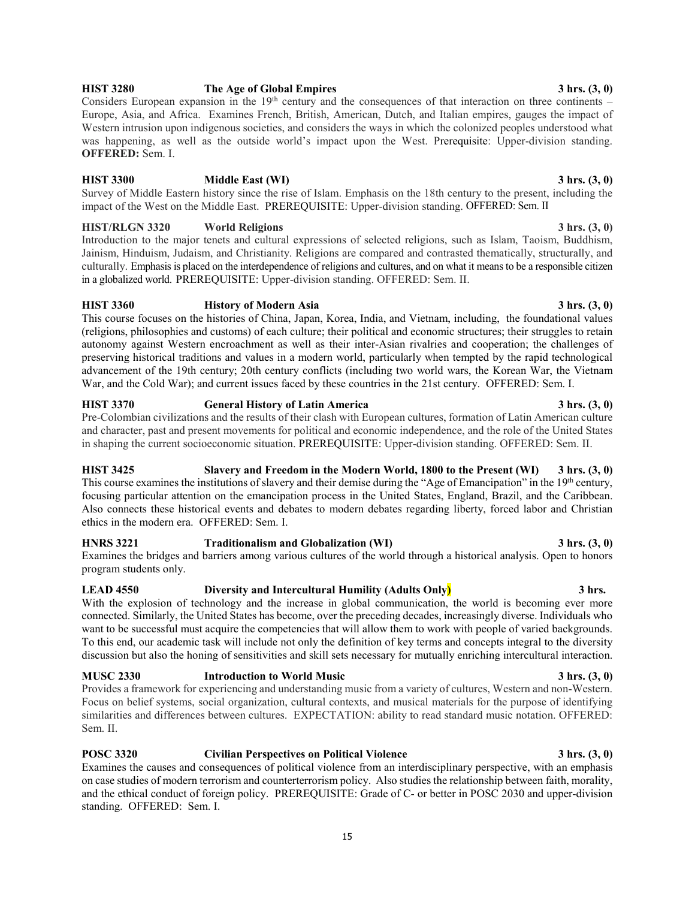## **HIST 3280 The Age of Global Empires 3 hrs. (3, 0)**

Considers European expansion in the  $19<sup>th</sup>$  century and the consequences of that interaction on three continents – Europe, Asia, and Africa. Examines French, British, American, Dutch, and Italian empires, gauges the impact of Western intrusion upon indigenous societies, and considers the ways in which the colonized peoples understood what was happening, as well as the outside world's impact upon the West. Prerequisite: Upper-division standing. **OFFERED:** Sem. I.

## **HIST 3300 Middle East (WI) 3 hrs. (3, 0)**

Survey of Middle Eastern history since the rise of Islam. Emphasis on the 18th century to the present, including the impact of the West on the Middle East. PREREQUISITE: Upper-division standing. OFFERED: Sem. II

## **HIST/RLGN 3320 World Religions 3 hrs. (3, 0)**

Introduction to the major tenets and cultural expressions of selected religions, such as Islam, Taoism, Buddhism, Jainism, Hinduism, Judaism, and Christianity. Religions are compared and contrasted thematically, structurally, and culturally. Emphasis is placed on the interdependence of religions and cultures, and on what it means to be a responsible citizen in a globalized world. PREREQUISITE: Upper-division standing. OFFERED: Sem. II.

## **HIST 3360 History of Modern Asia 3 hrs. (3, 0)**

This course focuses on the histories of China, Japan, Korea, India, and Vietnam, including, the foundational values (religions, philosophies and customs) of each culture; their political and economic structures; their struggles to retain autonomy against Western encroachment as well as their inter-Asian rivalries and cooperation; the challenges of preserving historical traditions and values in a modern world, particularly when tempted by the rapid technological advancement of the 19th century; 20th century conflicts (including two world wars, the Korean War, the Vietnam War, and the Cold War); and current issues faced by these countries in the 21st century. OFFERED: Sem. I.

## **HIST 3370 General History of Latin America 3 hrs. (3, 0)**

Pre-Colombian civilizations and the results of their clash with European cultures, formation of Latin American culture and character, past and present movements for political and economic independence, and the role of the United States in shaping the current socioeconomic situation. PREREQUISITE: Upper-division standing. OFFERED: Sem. II.

## **HIST 3425 Slavery and Freedom in the Modern World, 1800 to the Present (WI) 3 hrs. (3, 0)** This course examines the institutions of slavery and their demise during the "Age of Emancipation" in the 19<sup>th</sup> century, focusing particular attention on the emancipation process in the United States, England, Brazil, and the Caribbean. Also connects these historical events and debates to modern debates regarding liberty, forced labor and Christian ethics in the modern era. OFFERED: Sem. I.

**HNRS 3221 Traditionalism and Globalization (WI) 3 hrs. (3, 0)** Examines the bridges and barriers among various cultures of the world through a historical analysis. Open to honors program students only.

## **LEAD 4550 Diversity and Intercultural Humility (Adults Only) 3 hrs.**

With the explosion of technology and the increase in global communication, the world is becoming ever more connected. Similarly, the United States has become, over the preceding decades, increasingly diverse. Individuals who want to be successful must acquire the competencies that will allow them to work with people of varied backgrounds. To this end, our academic task will include not only the definition of key terms and concepts integral to the diversity discussion but also the honing of sensitivities and skill sets necessary for mutually enriching intercultural interaction.

## **MUSC 2330 Introduction to World Music 3 hrs. (3, 0)** Provides a framework for experiencing and understanding music from a variety of cultures, Western and non-Western. Focus on belief systems, social organization, cultural contexts, and musical materials for the purpose of identifying similarities and differences between cultures. EXPECTATION: ability to read standard music notation. OFFERED: Sem. II.

## **POSC 3320 Civilian Perspectives on Political Violence 3 hrs. (3, 0)**

Examines the causes and consequences of political violence from an interdisciplinary perspective, with an emphasis on case studies of modern terrorism and counterterrorism policy. Also studies the relationship between faith, morality, and the ethical conduct of foreign policy. PREREQUISITE: Grade of C- or better in POSC 2030 and upper-division standing. OFFERED: Sem. I.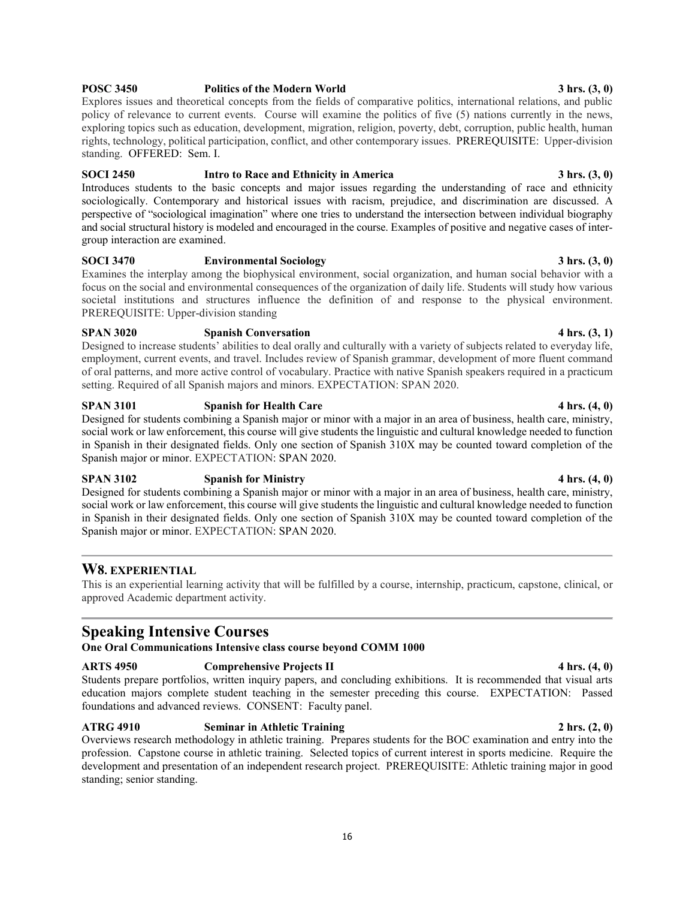## **POSC 3450 Politics of the Modern World 3 hrs. (3, 0)**

Explores issues and theoretical concepts from the fields of comparative politics, international relations, and public policy of relevance to current events. Course will examine the politics of five (5) nations currently in the news, exploring topics such as education, development, migration, religion, poverty, debt, corruption, public health, human rights, technology, political participation, conflict, and other contemporary issues. PREREQUISITE: Upper-division standing. OFFERED: Sem. I.

## **SOCI 2450 Intro to Race and Ethnicity in America 3 hrs. (3, 0)**

Introduces students to the basic concepts and major issues regarding the understanding of race and ethnicity sociologically. Contemporary and historical issues with racism, prejudice, and discrimination are discussed. A perspective of "sociological imagination" where one tries to understand the intersection between individual biography and social structural history is modeled and encouraged in the course. Examples of positive and negative cases of intergroup interaction are examined.

## **SOCI 3470 Environmental Sociology 3 hrs. (3, 0)**

Examines the interplay among the biophysical environment, social organization, and human social behavior with a focus on the social and environmental consequences of the organization of daily life. Students will study how various societal institutions and structures influence the definition of and response to the physical environment. PREREQUISITE: Upper-division standing

## **SPAN 3020 Spanish Conversation 4 hrs. (3, 1)**

Designed to increase students' abilities to deal orally and culturally with a variety of subjects related to everyday life, employment, current events, and travel. Includes review of Spanish grammar, development of more fluent command of oral patterns, and more active control of vocabulary. Practice with native Spanish speakers required in a practicum setting. Required of all Spanish majors and minors. EXPECTATION: SPAN 2020.

## **SPAN 3101 Spanish for Health Care 4 hrs. (4, 0)**

Designed for students combining a Spanish major or minor with a major in an area of business, health care, ministry, social work or law enforcement, this course will give students the linguistic and cultural knowledge needed to function in Spanish in their designated fields. Only one section of Spanish 310X may be counted toward completion of the Spanish major or minor. EXPECTATION: SPAN 2020.

## **SPAN 3102 Spanish for Ministry 4 hrs. (4, 0)**

Designed for students combining a Spanish major or minor with a major in an area of business, health care, ministry, social work or law enforcement, this course will give students the linguistic and cultural knowledge needed to function in Spanish in their designated fields. Only one section of Spanish 310X may be counted toward completion of the Spanish major or minor. EXPECTATION: SPAN 2020.

## **W8. EXPERIENTIAL**

This is an experiential learning activity that will be fulfilled by a course, internship, practicum, capstone, clinical, or approved Academic department activity.

## **Speaking Intensive Courses**

**One Oral Communications Intensive class course beyond COMM 1000**

## **ARTS 4950 Comprehensive Projects II 4 hrs. (4, 0)**

Students prepare portfolios, written inquiry papers, and concluding exhibitions. It is recommended that visual arts education majors complete student teaching in the semester preceding this course. EXPECTATION:Passed foundations and advanced reviews. CONSENT:Faculty panel.

## **ATRG 4910 Seminar in Athletic Training 2 hrs. (2, 0)**

Overviews research methodology in athletic training. Prepares students for the BOC examination and entry into the profession. Capstone course in athletic training. Selected topics of current interest in sports medicine. Require the development and presentation of an independent research project. PREREQUISITE: Athletic training major in good standing; senior standing.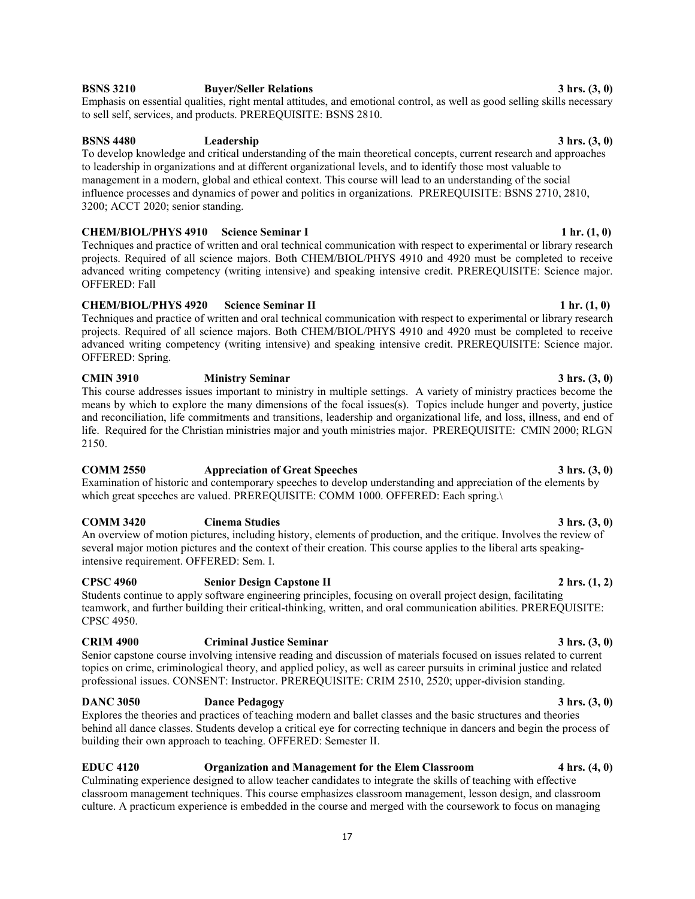teamwork, and further building their critical-thinking, written, and oral communication abilities. PREREQUISITE: CPSC 4950.

Senior capstone course involving intensive reading and discussion of materials focused on issues related to current topics on crime, criminological theory, and applied policy, as well as career pursuits in criminal justice and related

## **DANC 3050 Dance Pedagogy 3 hrs. (3, 0)**

Explores the theories and practices of teaching modern and ballet classes and the basic structures and theories behind all dance classes. Students develop a critical eye for correcting technique in dancers and begin the process of building their own approach to teaching. OFFERED: Semester II.

## Techniques and practice of written and oral technical communication with respect to experimental or library research

projects. Required of all science majors. Both CHEM/BIOL/PHYS 4910 and 4920 must be completed to receive advanced writing competency (writing intensive) and speaking intensive credit. PREREQUISITE: Science major. OFFERED: Spring.

## **CMIN 3910 Ministry Seminar 3 hrs. (3, 0)**

This course addresses issues important to ministry in multiple settings. A variety of ministry practices become the means by which to explore the many dimensions of the focal issues(s). Topics include hunger and poverty, justice and reconciliation, life commitments and transitions, leadership and organizational life, and loss, illness, and end of life. Required for the Christian ministries major and youth ministries major. PREREQUISITE:CMIN 2000; RLGN 2150.

## **COMM 2550 Appreciation of Great Speeches 3 hrs. (3, 0)**

Examination of historic and contemporary speeches to develop understanding and appreciation of the elements by which great speeches are valued. PREREQUISITE: COMM 1000. OFFERED: Each spring.\

## **COMM 3420 Cinema Studies 3 hrs. (3, 0)**

An overview of motion pictures, including history, elements of production, and the critique. Involves the review of several major motion pictures and the context of their creation. This course applies to the liberal arts speakingintensive requirement. OFFERED: Sem. I.

## **CPSC 4960 Senior Design Capstone II 2 hrs. (1, 2)**

Students continue to apply software engineering principles, focusing on overall project design, facilitating

## **CRIM 4900 Criminal Justice Seminar 3 hrs. (3, 0)**

professional issues. CONSENT: Instructor. PREREQUISITE: CRIM 2510, 2520; upper-division standing.

## **BSNS 4480 Leadership 3 hrs. (3, 0)**

To develop knowledge and critical understanding of the main theoretical concepts, current research and approaches to leadership in organizations and at different organizational levels, and to identify those most valuable to management in a modern, global and ethical context. This course will lead to an understanding of the social influence processes and dynamics of power and politics in organizations. PREREQUISITE: BSNS 2710, 2810, 3200; ACCT 2020; senior standing.

## **CHEM/BIOL/PHYS 4910** Science Seminar I 2 and 2 and 2 and 3 and 3 and 4 and 4 and 4 and 4 and 4 and 4 and 4 and 4 and 4 and 4 and 4 and 4 and 4 and 4 and 4 and 4 and 4 and 4 and 4 and 4 and 4 and 4 and 4 and 4 and 4 and 4

Techniques and practice of written and oral technical communication with respect to experimental or library research projects. Required of all science majors. Both CHEM/BIOL/PHYS 4910 and 4920 must be completed to receive advanced writing competency (writing intensive) and speaking intensive credit. PREREQUISITE: Science major. OFFERED: Fall

**BSNS 3210 Buyer/Seller Relations 3 hrs. (3, 0)** Emphasis on essential qualities, right mental attitudes, and emotional control, as well as good selling skills necessary to sell self, services, and products. PREREQUISITE: BSNS 2810.

# **CHEM/BIOL/PHYS 4920** Science Seminar **II** 1 hr. (1, 0)

## **EDUC 4120 Organization and Management for the Elem Classroom 4 hrs. (4, 0)**

## Culminating experience designed to allow teacher candidates to integrate the skills of teaching with effective classroom management techniques. This course emphasizes classroom management, lesson design, and classroom

culture. A practicum experience is embedded in the course and merged with the coursework to focus on managing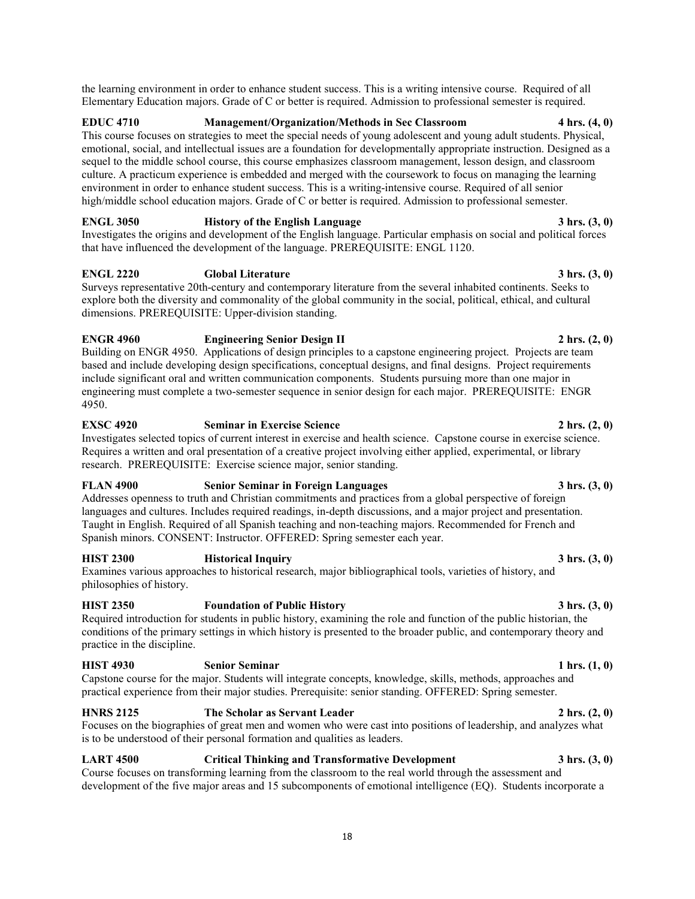the learning environment in order to enhance student success. This is a writing intensive course. Required of all Elementary Education majors. Grade of C or better is required. Admission to professional semester is required.

**EDUC 4710 Management/Organization/Methods in Sec Classroom 4 hrs. (4, 0)** This course focuses on strategies to meet the special needs of young adolescent and young adult students. Physical, emotional, social, and intellectual issues are a foundation for developmentally appropriate instruction. Designed as a sequel to the middle school course, this course emphasizes classroom management, lesson design, and classroom culture. A practicum experience is embedded and merged with the coursework to focus on managing the learning environment in order to enhance student success. This is a writing-intensive course. Required of all senior high/middle school education majors. Grade of C or better is required. Admission to professional semester.

**ENGL 3050 History of the English Language 3 hrs. (3, 0)** Investigates the origins and development of the English language. Particular emphasis on social and political forces that have influenced the development of the language. PREREQUISITE: ENGL 1120.

**ENGL 2220 Global Literature 3 hrs. (3, 0)** Surveys representative 20th-century and contemporary literature from the several inhabited continents. Seeks to explore both the diversity and commonality of the global community in the social, political, ethical, and cultural dimensions. PREREQUISITE: Upper-division standing.

**ENGR 4960 Engineering Senior Design II 2 hrs. (2, 0)** Building on ENGR 4950. Applications of design principles to a capstone engineering project. Projects are team based and include developing design specifications, conceptual designs, and final designs. Project requirements include significant oral and written communication components. Students pursuing more than one major in engineering must complete a two-semester sequence in senior design for each major. PREREQUISITE: ENGR 4950.

**EXSC 4920 Seminar in Exercise Science 2 hrs. (2, 0)** Investigates selected topics of current interest in exercise and health science. Capstone course in exercise science. Requires a written and oral presentation of a creative project involving either applied, experimental, or library research. PREREQUISITE: Exercise science major, senior standing.

Addresses openness to truth and Christian commitments and practices from a global perspective of foreign languages and cultures. Includes required readings, in-depth discussions, and a major project and presentation. Taught in English. Required of all Spanish teaching and non-teaching majors. Recommended for French and Spanish minors. CONSENT: Instructor. OFFERED: Spring semester each year.

**HIST 2300 Historical Inquiry 3 hrs. (3, 0)** Examines various approaches to historical research, major bibliographical tools, varieties of history, and

philosophies of history.

**HIST 2350 Foundation of Public History 3 hrs. (3, 0)** Required introduction for students in public history, examining the role and function of the public historian, the conditions of the primary settings in which history is presented to the broader public, and contemporary theory and practice in the discipline.

**HIST 4930 Senior Seminar 1 hrs. (1, 0)** Capstone course for the major. Students will integrate concepts, knowledge, skills, methods, approaches and practical experience from their major studies. Prerequisite: senior standing. OFFERED: Spring semester.

**HNRS 2125 The Scholar as Servant Leader 2 hrs. (2, 0)** Focuses on the biographies of great men and women who were cast into positions of leadership, and analyzes what is to be understood of their personal formation and qualities as leaders.

**LART 4500 Critical Thinking and Transformative Development 3 hrs. (3, 0)** Course focuses on transforming learning from the classroom to the real world through the assessment and development of the five major areas and 15 subcomponents of emotional intelligence (EQ). Students incorporate a

## **FLAN 4900 Senior Seminar in Foreign Languages 3 hrs. (3, 0)**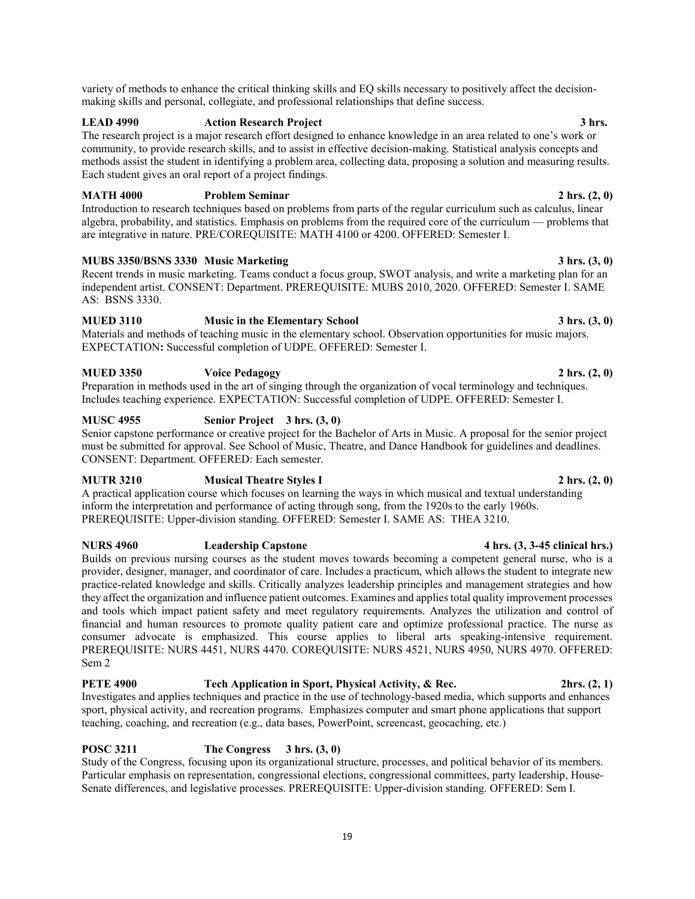variety of methods to enhance the critical thinking skills and EQ skills necessary to positively affect the decisionmaking skills and personal, collegiate, and professional relationships that define success.

## **LEAD 4990 Action Research Project 3 hrs.**

The research project is a major research effort designed to enhance knowledge in an area related to one's work or community, to provide research skills, and to assist in effective decision-making. Statistical analysis concepts and methods assist the student in identifying a problem area, collecting data, proposing a solution and measuring results. Each student gives an oral report of a project findings.

## **MATH 4000 Problem Seminar 2 hrs. (2, 0)**

Introduction to research techniques based on problems from parts of the regular curriculum such as calculus, linear algebra, probability, and statistics. Emphasis on problems from the required core of the curriculum — problems that are integrative in nature. PRE/COREQUISITE: MATH 4100 or 4200. OFFERED: Semester I.

## **MUBS 3350/BSNS 3330 Music Marketing 3 hrs. (3, 0)**

Recent trends in music marketing. Teams conduct a focus group, SWOT analysis, and write a marketing plan for an independent artist. CONSENT: Department. PREREQUISITE: MUBS 2010, 2020. OFFERED: Semester I. SAME AS: BSNS 3330.

## **MUED 3110 Music in the Elementary School 3 hrs. (3, 0)**

Materials and methods of teaching music in the elementary school. Observation opportunities for music majors. EXPECTATION**:** Successful completion of UDPE. OFFERED: Semester I.

## **MUED 3350 Voice Pedagogy 2 hrs. (2, 0)**

Preparation in methods used in the art of singing through the organization of vocal terminology and techniques. Includes teaching experience. EXPECTATION: Successful completion of UDPE. OFFERED: Semester I.

## **MUSC 4955 Senior Project 3 hrs. (3, 0)**

Senior capstone performance or creative project for the Bachelor of Arts in Music. A proposal for the senior project must be submitted for approval. See School of Music, Theatre, and Dance Handbook for guidelines and deadlines. CONSENT: Department. OFFERED: Each semester.

## **MUTR 3210 Musical Theatre Styles I 2 hrs. (2, 0)**

A practical application course which focuses on learning the ways in which musical and textual understanding inform the interpretation and performance of acting through song, from the 1920s to the early 1960s. PREREQUISITE: Upper-division standing. OFFERED: Semester I. SAME AS: THEA 3210.

## **NURS 4960 Leadership Capstone 4 hrs. (3, 3-45 clinical hrs.)**

Builds on previous nursing courses as the student moves towards becoming a competent general nurse, who is a provider, designer, manager, and coordinator of care. Includes a practicum, which allows the student to integrate new practice-related knowledge and skills. Critically analyzes leadership principles and management strategies and how they affect the organization and influence patient outcomes. Examines and applies total quality improvement processes and tools which impact patient safety and meet regulatory requirements. Analyzes the utilization and control of financial and human resources to promote quality patient care and optimize professional practice. The nurse as consumer advocate is emphasized. This course applies to liberal arts speaking-intensive requirement. PREREQUISITE: NURS 4451, NURS 4470. COREQUISITE: NURS 4521, NURS 4950, NURS 4970. OFFERED: Sem 2

## **PETE 4900 Tech Application in Sport, Physical Activity, & Rec. 2hrs. (2, 1)**

Investigates and applies techniques and practice in the use of technology-based media, which supports and enhances sport, physical activity, and recreation programs. Emphasizes computer and smart phone applications that support teaching, coaching, and recreation (e.g., data bases, PowerPoint, screencast, geocaching, etc.)

## **POSC 3211 The Congress 3 hrs. (3, 0)**

Study of the Congress, focusing upon its organizational structure, processes, and political behavior of its members. Particular emphasis on representation, congressional elections, congressional committees, party leadership, House-Senate differences, and legislative processes. PREREQUISITE: Upper-division standing. OFFERED: Sem I.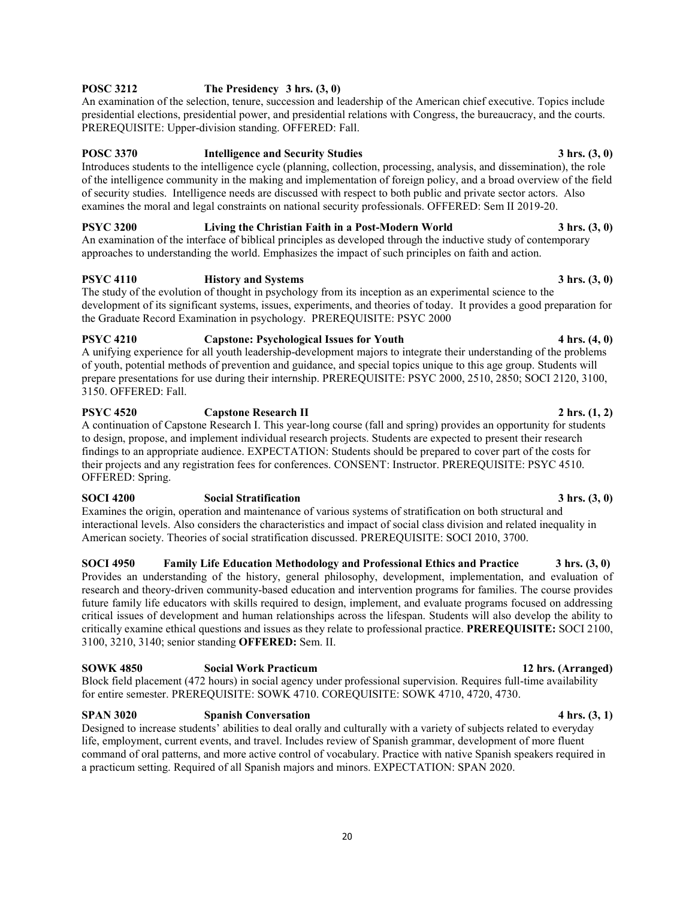## **POSC 3212 The Presidency 3 hrs. (3, 0)**

An examination of the selection, tenure, succession and leadership of the American chief executive. Topics include presidential elections, presidential power, and presidential relations with Congress, the bureaucracy, and the courts. PREREQUISITE: Upper-division standing. OFFERED: Fall.

## **POSC 3370 Intelligence and Security Studies 3 hrs. (3, 0)**

Introduces students to the intelligence cycle (planning, collection, processing, analysis, and dissemination), the role of the intelligence community in the making and implementation of foreign policy, and a broad overview of the field of security studies. Intelligence needs are discussed with respect to both public and private sector actors. Also examines the moral and legal constraints on national security professionals. OFFERED: Sem II 2019-20.

**PSYC 3200 Living the Christian Faith in a Post-Modern World 3 hrs. (3, 0)** An examination of the interface of biblical principles as developed through the inductive study of contemporary approaches to understanding the world. Emphasizes the impact of such principles on faith and action.

## **PSYC 4110 History and Systems 3 hrs. (3, 0)**

The study of the evolution of thought in psychology from its inception as an experimental science to the development of its significant systems, issues, experiments, and theories of today. It provides a good preparation for the Graduate Record Examination in psychology. PREREQUISITE: PSYC 2000

## **PSYC 4210 Capstone: Psychological Issues for Youth 4 hrs. (4, 0)**

A unifying experience for all youth leadership-development majors to integrate their understanding of the problems of youth, potential methods of prevention and guidance, and special topics unique to this age group. Students will prepare presentations for use during their internship. PREREQUISITE: PSYC 2000, 2510, 2850; SOCI 2120, 3100, 3150. OFFERED: Fall.

## **PSYC 4520 Capstone Research II 2 hrs. (1, 2)**

A continuation of Capstone Research I. This year-long course (fall and spring) provides an opportunity for students to design, propose, and implement individual research projects. Students are expected to present their research findings to an appropriate audience. EXPECTATION: Students should be prepared to cover part of the costs for their projects and any registration fees for conferences. CONSENT: Instructor. PREREQUISITE: PSYC 4510. OFFERED: Spring.

## **SOCI 4200 Social Stratification 3 hrs. (3, 0)**

Examines the origin, operation and maintenance of various systems of stratification on both structural and interactional levels. Also considers the characteristics and impact of social class division and related inequality in American society. Theories of social stratification discussed. PREREQUISITE: SOCI 2010, 3700.

## **SOCI 4950 Family Life Education Methodology and Professional Ethics and Practice 3 hrs. (3, 0)**

Provides an understanding of the history, general philosophy, development, implementation, and evaluation of research and theory-driven community-based education and intervention programs for families. The course provides future family life educators with skills required to design, implement, and evaluate programs focused on addressing critical issues of development and human relationships across the lifespan. Students will also develop the ability to critically examine ethical questions and issues as they relate to professional practice. **PREREQUISITE:** SOCI 2100, 3100, 3210, 3140; senior standing **OFFERED:** Sem. II.

Block field placement (472 hours) in social agency under professional supervision. Requires full-time availability for entire semester. PREREQUISITE: SOWK 4710. COREQUISITE: SOWK 4710, 4720, 4730.

## **SPAN 3020 Spanish Conversation 4 hrs. (3, 1)**

Designed to increase students' abilities to deal orally and culturally with a variety of subjects related to everyday life, employment, current events, and travel. Includes review of Spanish grammar, development of more fluent command of oral patterns, and more active control of vocabulary. Practice with native Spanish speakers required in a practicum setting. Required of all Spanish majors and minors. EXPECTATION: SPAN 2020.

## **SOWK 4850 Social Work Practicum 12 hrs. (Arranged)**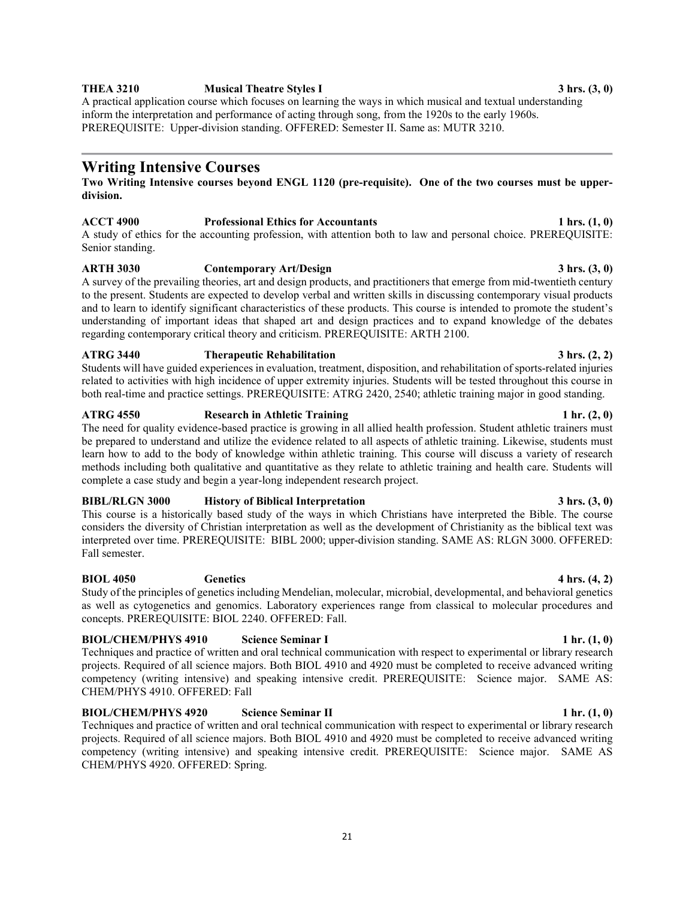## **THEA 3210 Musical Theatre Styles I 3 hrs. (3, 0)**

A practical application course which focuses on learning the ways in which musical and textual understanding inform the interpretation and performance of acting through song, from the 1920s to the early 1960s. PREREQUISITE: Upper-division standing. OFFERED: Semester II. Same as: MUTR 3210.

## **Writing Intensive Courses**

## **Two Writing Intensive courses beyond ENGL 1120 (pre-requisite). One of the two courses must be upperdivision.**

## **ACCT 4900 Professional Ethics for Accountants 1 hrs. (1, 0)**

A study of ethics for the accounting profession, with attention both to law and personal choice. PREREQUISITE: Senior standing.

## **ARTH 3030 Contemporary Art/Design 3 hrs. (3, 0)**

## A survey of the prevailing theories, art and design products, and practitioners that emerge from mid-twentieth century to the present. Students are expected to develop verbal and written skills in discussing contemporary visual products and to learn to identify significant characteristics of these products. This course is intended to promote the student's understanding of important ideas that shaped art and design practices and to expand knowledge of the debates regarding contemporary critical theory and criticism. PREREQUISITE: ARTH 2100.

# **ATRG 3440 Therapeutic Rehabilitation 3 hrs. (2, 2)**

Students will have guided experiences in evaluation, treatment, disposition, and rehabilitation of sports-related injuries related to activities with high incidence of upper extremity injuries. Students will be tested throughout this course in both real-time and practice settings. PREREQUISITE: ATRG 2420, 2540; athletic training major in good standing.

## **ATRG 4550** Research in Athletic Training 1 hr. (2, 0) **Research in Athletic Training**

The need for quality evidence-based practice is growing in all allied health profession. Student athletic trainers must be prepared to understand and utilize the evidence related to all aspects of athletic training. Likewise, students must learn how to add to the body of knowledge within athletic training. This course will discuss a variety of research methods including both qualitative and quantitative as they relate to athletic training and health care. Students will complete a case study and begin a year-long independent research project.

## **BIBL/RLGN 3000 History of Biblical Interpretation** 3 hrs. (3, 0) 3 hrs. (3, 0)

This course is a historically based study of the ways in which Christians have interpreted the Bible. The course considers the diversity of Christian interpretation as well as the development of Christianity as the biblical text was interpreted over time. PREREQUISITE: BIBL 2000; upper-division standing. SAME AS: RLGN 3000. OFFERED: Fall semester.

## **BIOL 4050** Genetics 4 hrs. (4, 2)

Study of the principles of genetics including Mendelian, molecular, microbial, developmental, and behavioral genetics as well as cytogenetics and genomics. Laboratory experiences range from classical to molecular procedures and concepts. PREREQUISITE: BIOL 2240. OFFERED: Fall.

## **BIOL/CHEM/PHYS 4910** Science Seminar I 1 hr. (1, 0)

Techniques and practice of written and oral technical communication with respect to experimental or library research projects. Required of all science majors. Both BIOL 4910 and 4920 must be completed to receive advanced writing competency (writing intensive) and speaking intensive credit. PREREQUISITE: Science major. SAME AS: CHEM/PHYS 4910. OFFERED: Fall

**BIOL/CHEM/PHYS 4920** Science Seminar II **1 hr.** (1, 0) Techniques and practice of written and oral technical communication with respect to experimental or library research projects. Required of all science majors. Both BIOL 4910 and 4920 must be completed to receive advanced writing competency (writing intensive) and speaking intensive credit. PREREQUISITE: Science major. SAME AS CHEM/PHYS 4920. OFFERED: Spring.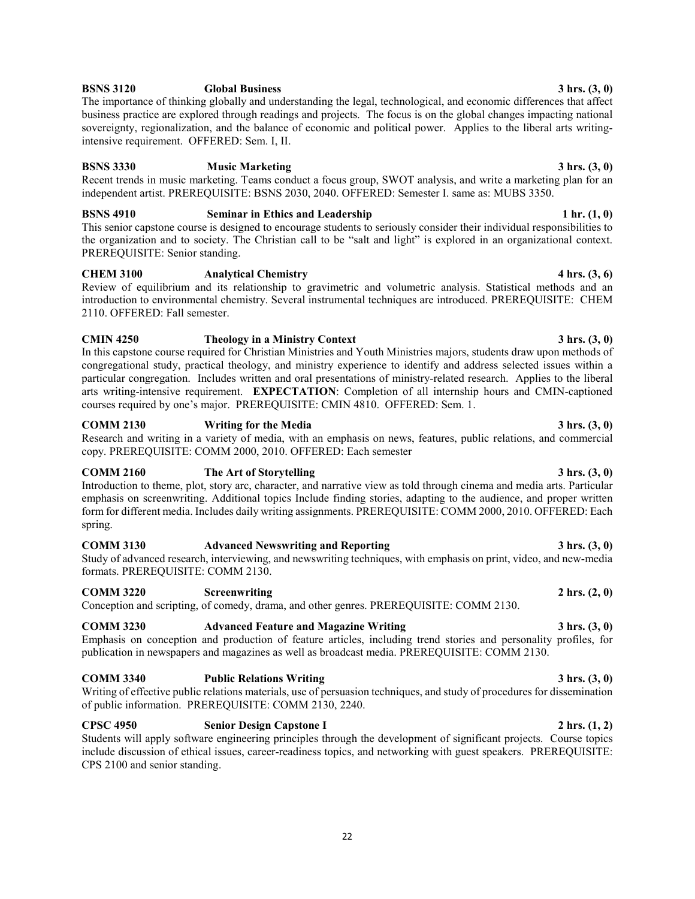## **BSNS 3120 Global Business** 3 hrs. (3, 0)

The importance of thinking globally and understanding the legal, technological, and economic differences that affect business practice are explored through readings and projects. The focus is on the global changes impacting national sovereignty, regionalization, and the balance of economic and political power. Applies to the liberal arts writingintensive requirement. OFFERED: Sem. I, II.

## **BSNS 3330 Music Marketing 3 hrs. (3, 0) 3 hrs.** (3, 0)

Recent trends in music marketing. Teams conduct a focus group, SWOT analysis, and write a marketing plan for an independent artist. PREREQUISITE: BSNS 2030, 2040. OFFERED: Semester I. same as: MUBS 3350.

## **BSNS 4910 Seminar in Ethics and Leadership 1 hr. (1, 0) 1 hr.** (1, 0)

This senior capstone course is designed to encourage students to seriously consider their individual responsibilities to the organization and to society. The Christian call to be "salt and light" is explored in an organizational context. PREREQUISITE: Senior standing.

## **CHEM 3100 Analytical Chemistry 4 hrs. (3, 6)**

Review of equilibrium and its relationship to gravimetric and volumetric analysis. Statistical methods and an introduction to environmental chemistry. Several instrumental techniques are introduced. PREREQUISITE: CHEM 2110. OFFERED: Fall semester.

**CMIN 4250 Theology in a Ministry Context 3 hrs. (3, 0)** In this capstone course required for Christian Ministries and Youth Ministries majors, students draw upon methods of congregational study, practical theology, and ministry experience to identify and address selected issues within a particular congregation. Includes written and oral presentations of ministry-related research. Applies to the liberal arts writing-intensive requirement. **EXPECTATION**: Completion of all internship hours and CMIN-captioned courses required by one's major. PREREQUISITE: CMIN 4810. OFFERED: Sem. 1.

## **COMM 2130 Writing for the Media 3 hrs. (3, 0)**

Research and writing in a variety of media, with an emphasis on news, features, public relations, and commercial copy. PREREQUISITE: COMM 2000, 2010. OFFERED: Each semester

## **COMM 2160 The Art of Storytelling 3 hrs. (3, 0)**

Introduction to theme, plot, story arc, character, and narrative view as told through cinema and media arts. Particular emphasis on screenwriting. Additional topics Include finding stories, adapting to the audience, and proper written form for different media. Includes daily writing assignments. PREREQUISITE: COMM 2000, 2010. OFFERED: Each spring.

## **COMM 3130 Advanced Newswriting and Reporting 3 hrs. (3, 0)** 3 hrs. (3, 0)

Study of advanced research, interviewing, and newswriting techniques, with emphasis on print, video, and new-media formats. PREREQUISITE: COMM 2130.

## **COMM 3220 Screenwriting 2 hrs. (2, 0) 2 hrs.** (2, 0)

Conception and scripting, of comedy, drama, and other genres. PREREQUISITE: COMM 2130.

## **COMM 3230 Advanced Feature and Magazine Writing 3 hrs. (3, 0)** 3 hrs. (3, 0)

Emphasis on conception and production of feature articles, including trend stories and personality profiles, for publication in newspapers and magazines as well as broadcast media. PREREQUISITE: COMM 2130.

## **COMM 3340 Public Relations Writing 3 hrs. (3, 0)**

Writing of effective public relations materials, use of persuasion techniques, and study of procedures for dissemination of public information. PREREQUISITE: COMM 2130, 2240.

## **CPSC 4950 Senior Design Capstone I 2 hrs. (1, 2)**

Students will apply software engineering principles through the development of significant projects. Course topics include discussion of ethical issues, career-readiness topics, and networking with guest speakers. PREREQUISITE: CPS 2100 and senior standing.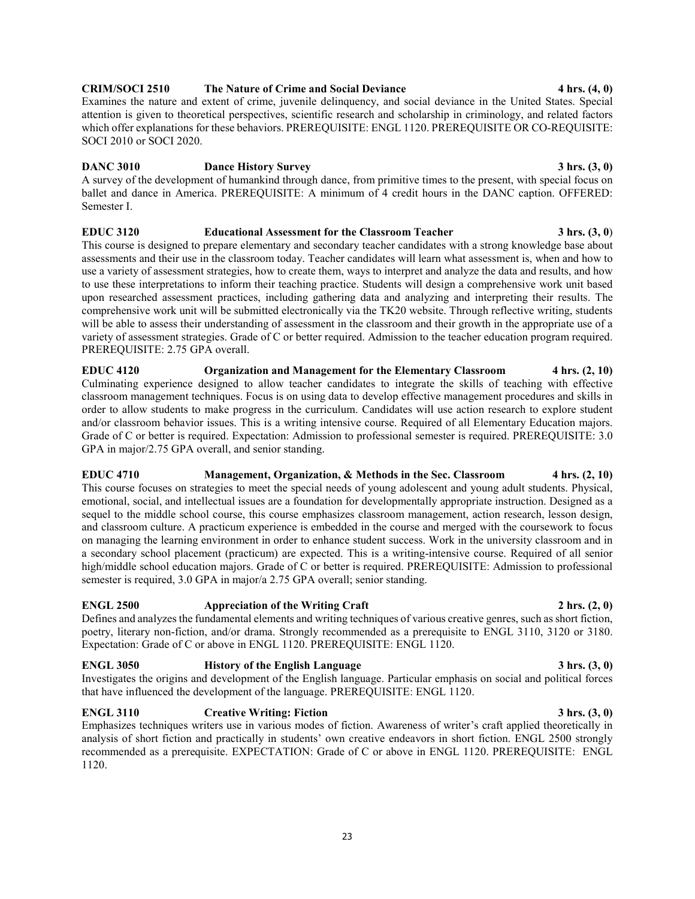## **CRIM/SOCI 2510 The Nature of Crime and Social Deviance 4 hrs. (4, 0)**

Examines the nature and extent of crime, juvenile delinquency, and social deviance in the United States. Special attention is given to theoretical perspectives, scientific research and scholarship in criminology, and related factors which offer explanations for these behaviors. PREREQUISITE: ENGL 1120. PREREQUISITE OR CO-REQUISITE: SOCI 2010 or SOCI 2020.

**DANC 3010 Dance History Survey 3 hrs. (3, 0) 3 hrs. (3, 0)** A survey of the development of humankind through dance, from primitive times to the present, with special focus on ballet and dance in America. PREREQUISITE: A minimum of 4 credit hours in the DANC caption. OFFERED: Semester I.

## **EDUC 3120 Educational Assessment for the Classroom Teacher 3 hrs. (3, 0**)

This course is designed to prepare elementary and secondary teacher candidates with a strong knowledge base about assessments and their use in the classroom today. Teacher candidates will learn what assessment is, when and how to use a variety of assessment strategies, how to create them, ways to interpret and analyze the data and results, and how to use these interpretations to inform their teaching practice. Students will design a comprehensive work unit based upon researched assessment practices, including gathering data and analyzing and interpreting their results. The comprehensive work unit will be submitted electronically via the TK20 website. Through reflective writing, students will be able to assess their understanding of assessment in the classroom and their growth in the appropriate use of a variety of assessment strategies. Grade of C or better required. Admission to the teacher education program required. PREREQUISITE: 2.75 GPA overall.

**EDUC 4120 Organization and Management for the Elementary Classroom 4 hrs. (2, 10)**  Culminating experience designed to allow teacher candidates to integrate the skills of teaching with effective classroom management techniques. Focus is on using data to develop effective management procedures and skills in order to allow students to make progress in the curriculum. Candidates will use action research to explore student and/or classroom behavior issues. This is a writing intensive course. Required of all Elementary Education majors. Grade of C or better is required. Expectation: Admission to professional semester is required. PREREQUISITE: 3.0 GPA in major/2.75 GPA overall, and senior standing.

## **EDUC 4710 Management, Organization, & Methods in the Sec. Classroom 4 hrs. (2, 10)**

This course focuses on strategies to meet the special needs of young adolescent and young adult students. Physical, emotional, social, and intellectual issues are a foundation for developmentally appropriate instruction. Designed as a sequel to the middle school course, this course emphasizes classroom management, action research, lesson design, and classroom culture. A practicum experience is embedded in the course and merged with the coursework to focus on managing the learning environment in order to enhance student success. Work in the university classroom and in a secondary school placement (practicum) are expected. This is a writing-intensive course. Required of all senior high/middle school education majors. Grade of C or better is required. PREREQUISITE: Admission to professional semester is required, 3.0 GPA in major/a 2.75 GPA overall; senior standing.

## **ENGL 2500 Appreciation of the Writing Craft 2 hrs. (2, 0) 2 hrs.** (2, 0)

Defines and analyzes the fundamental elements and writing techniques of various creative genres, such as short fiction, poetry, literary non-fiction, and/or drama. Strongly recommended as a prerequisite to ENGL 3110, 3120 or 3180. Expectation: Grade of C or above in ENGL 1120. PREREQUISITE: ENGL 1120.

## **ENGL 3050 History of the English Language 3 hrs. (3, 0)**

Investigates the origins and development of the English language. Particular emphasis on social and political forces that have influenced the development of the language. PREREQUISITE: ENGL 1120.

## **ENGL 3110 Creative Writing: Fiction 3 hrs. (3, 0)**

Emphasizes techniques writers use in various modes of fiction. Awareness of writer's craft applied theoretically in analysis of short fiction and practically in students' own creative endeavors in short fiction. ENGL 2500 strongly recommended as a prerequisite. EXPECTATION: Grade of C or above in ENGL 1120. PREREQUISITE: ENGL 1120.

## 23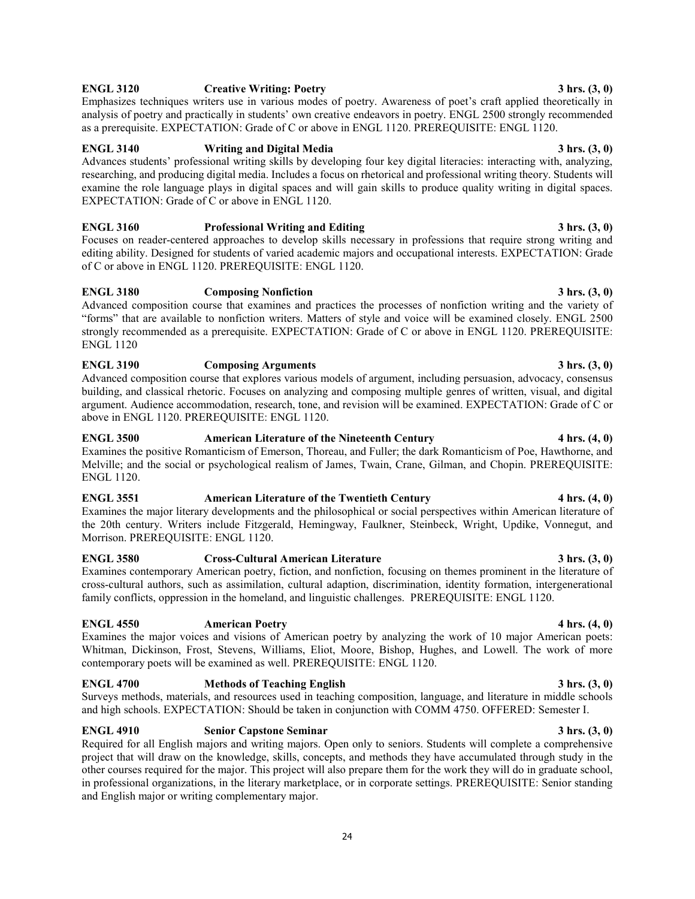## Required for all English majors and writing majors. Open only to seniors. Students will complete a comprehensive project that will draw on the knowledge, skills, concepts, and methods they have accumulated through study in the other courses required for the major. This project will also prepare them for the work they will do in graduate school, in professional organizations, in the literary marketplace, or in corporate settings. PREREQUISITE: Senior standing and English major or writing complementary major.

24

**ENGL 3190 Composing Arguments 3 hrs. (3, 0)** 

Advanced composition course that explores various models of argument, including persuasion, advocacy, consensus building, and classical rhetoric. Focuses on analyzing and composing multiple genres of written, visual, and digital argument. Audience accommodation, research, tone, and revision will be examined. EXPECTATION: Grade of C or above in ENGL 1120. PREREQUISITE: ENGL 1120.

## **ENGL 3500 American Literature of the Nineteenth Century 4 hrs. (4, 0)**

Examines the positive Romanticism of Emerson, Thoreau, and Fuller; the dark Romanticism of Poe, Hawthorne, and Melville; and the social or psychological realism of James, Twain, Crane, Gilman, and Chopin. PREREQUISITE: ENGL 1120.

## **ENGL 3551 American Literature of the Twentieth Century 4 hrs. (4, 0)**

Morrison. PREREQUISITE: ENGL 1120.

## **ENGL 3580 Cross-Cultural American Literature 3 hrs. (3, 0)**

Examines contemporary American poetry, fiction, and nonfiction, focusing on themes prominent in the literature of cross-cultural authors, such as assimilation, cultural adaption, discrimination, identity formation, intergenerational family conflicts, oppression in the homeland, and linguistic challenges. PREREQUISITE: ENGL 1120.

## **ENGL 4550 American Poetry 4 hrs. (4, 0)**

Examines the major voices and visions of American poetry by analyzing the work of 10 major American poets: Whitman, Dickinson, Frost, Stevens, Williams, Eliot, Moore, Bishop, Hughes, and Lowell. The work of more contemporary poets will be examined as well. PREREQUISITE: ENGL 1120.

## **ENGL 4700 Methods of Teaching English 3 hrs. (3, 0)**

Surveys methods, materials, and resources used in teaching composition, language, and literature in middle schools and high schools. EXPECTATION: Should be taken in conjunction with COMM 4750. OFFERED: Semester I.

# **ENGL 3120 Creative Writing: Poetry 3 hrs. (3, 0)**

Emphasizes techniques writers use in various modes of poetry. Awareness of poet's craft applied theoretically in analysis of poetry and practically in students' own creative endeavors in poetry. ENGL 2500 strongly recommended as a prerequisite. EXPECTATION: Grade of C or above in ENGL 1120. PREREQUISITE: ENGL 1120.

## **ENGL 3140 Writing and Digital Media 3 hrs. (3, 0)**

Advances students' professional writing skills by developing four key digital literacies: interacting with, analyzing, researching, and producing digital media. Includes a focus on rhetorical and professional writing theory. Students will examine the role language plays in digital spaces and will gain skills to produce quality writing in digital spaces. EXPECTATION: Grade of C or above in ENGL 1120.

ENGL 1120

**ENGL 3160 Professional Writing and Editing 3 hrs. (3, 0)** 3 hrs. (3, 0) Focuses on reader-centered approaches to develop skills necessary in professions that require strong writing and editing ability. Designed for students of varied academic majors and occupational interests. EXPECTATION: Grade of C or above in ENGL 1120. PREREQUISITE: ENGL 1120.

"forms" that are available to nonfiction writers. Matters of style and voice will be examined closely. ENGL 2500 strongly recommended as a prerequisite. EXPECTATION: Grade of C or above in ENGL 1120. PREREQUISITE:

## **ENGL 3180 Composing Nonfiction 3 hrs. (3, 0)**

Examines the major literary developments and the philosophical or social perspectives within American literature of the 20th century. Writers include Fitzgerald, Hemingway, Faulkner, Steinbeck, Wright, Updike, Vonnegut, and

# **ENGL 4910 Senior Capstone Seminar** 3 hrs. (3, 0)

# Advanced composition course that examines and practices the processes of nonfiction writing and the variety of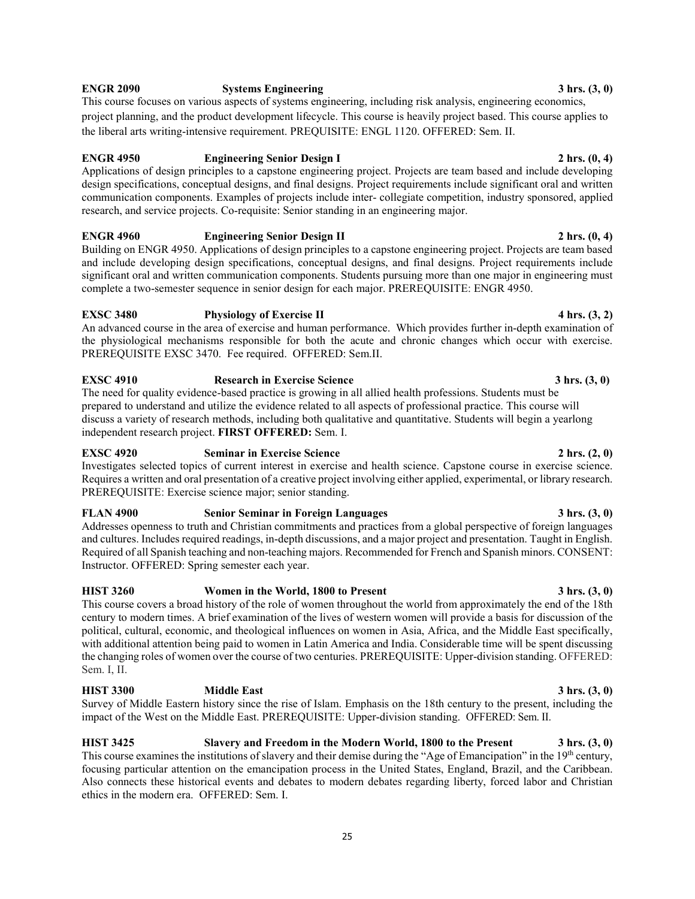## **ENGR 2090 Systems Engineering 3 hrs. (3, 0)**

This course focuses on various aspects of systems engineering, including risk analysis, engineering economics, project planning, and the product development lifecycle. This course is heavily project based. This course applies to the liberal arts writing-intensive requirement. PREQUISITE: ENGL 1120. OFFERED: Sem. II.

## **ENGR 4950 Engineering Senior Design I** 2 hrs.  $(0, 4)$

Applications of design principles to a capstone engineering project. Projects are team based and include developing design specifications, conceptual designs, and final designs. Project requirements include significant oral and written communication components. Examples of projects include inter- collegiate competition, industry sponsored, applied research, and service projects. Co-requisite: Senior standing in an engineering major.

## **ENGR 4960 Engineering Senior Design II 2 hrs.** (0, 4) **2 hrs.** (0, 4)

Building on ENGR 4950. Applications of design principles to a capstone engineering project. Projects are team based and include developing design specifications, conceptual designs, and final designs. Project requirements include significant oral and written communication components. Students pursuing more than one major in engineering must complete a two-semester sequence in senior design for each major. PREREQUISITE: ENGR 4950.

## **EXSC 3480 Physiology of Exercise II 4 hrs. (3, 2)**

An advanced course in the area of exercise and human performance. Which provides further in-depth examination of the physiological mechanisms responsible for both the acute and chronic changes which occur with exercise. PREREQUISITE EXSC 3470. Fee required. OFFERED: Sem.II.

## **EXSC 4910** Research in Exercise Science 3 hrs. (3, 0)

The need for quality evidence-based practice is growing in all allied health professions. Students must be prepared to understand and utilize the evidence related to all aspects of professional practice. This course will discuss a variety of research methods, including both qualitative and quantitative. Students will begin a yearlong independent research project. **FIRST OFFERED:** Sem. I.

## **EXSC 4920 Seminar in Exercise Science** 2 hrs. (2, 0)

Investigates selected topics of current interest in exercise and health science. Capstone course in exercise science. Requires a written and oral presentation of a creative project involving either applied, experimental, or library research. PREREQUISITE: Exercise science major; senior standing.

## **FLAN 4900 Senior Seminar in Foreign Languages** 3 hrs. (3, 0)

Addresses openness to truth and Christian commitments and practices from a global perspective of foreign languages and cultures. Includes required readings, in-depth discussions, and a major project and presentation. Taught in English. Required of all Spanish teaching and non-teaching majors. Recommended for French and Spanish minors. CONSENT: Instructor. OFFERED: Spring semester each year.

## **HIST 3260 Women in the World, 1800 to Present 3 hrs. (3, 0)**

This course covers a broad history of the role of women throughout the world from approximately the end of the 18th century to modern times. A brief examination of the lives of western women will provide a basis for discussion of the political, cultural, economic, and theological influences on women in Asia, Africa, and the Middle East specifically, with additional attention being paid to women in Latin America and India. Considerable time will be spent discussing the changing roles of women over the course of two centuries. PREREQUISITE: Upper-division standing. OFFERED: Sem. I, II.

## **HIST 3300 Middle East 3 hrs. (3, 0)**

ethics in the modern era. OFFERED: Sem. I.

Survey of Middle Eastern history since the rise of Islam. Emphasis on the 18th century to the present, including the impact of the West on the Middle East. PREREQUISITE: Upper-division standing. OFFERED: Sem. II.

**HIST 3425 Slavery and Freedom in the Modern World, 1800 to the Present 3 hrs. (3, 0)** This course examines the institutions of slavery and their demise during the "Age of Emancipation" in the 19<sup>th</sup> century, focusing particular attention on the emancipation process in the United States, England, Brazil, and the Caribbean. Also connects these historical events and debates to modern debates regarding liberty, forced labor and Christian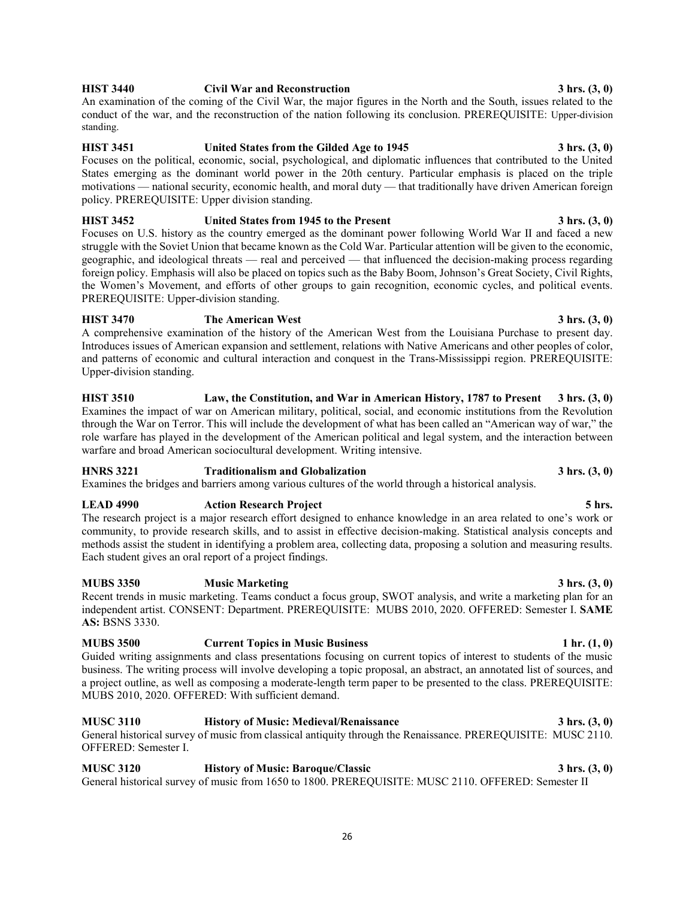## **HIST 3440 Civil War and Reconstruction 3 hrs. (3, 0)**

An examination of the coming of the Civil War, the major figures in the North and the South, issues related to the conduct of the war, and the reconstruction of the nation following its conclusion. PREREQUISITE: Upper-division standing.

## **HIST 3451 United States from the Gilded Age to 1945** 3 hrs. (3, 0)

Focuses on the political, economic, social, psychological, and diplomatic influences that contributed to the United States emerging as the dominant world power in the 20th century. Particular emphasis is placed on the triple motivations — national security, economic health, and moral duty — that traditionally have driven American foreign policy. PREREQUISITE: Upper division standing.

**HIST 3452 United States from 1945 to the Present 3 hrs. (3, 0)** Focuses on U.S. history as the country emerged as the dominant power following World War II and faced a new struggle with the Soviet Union that became known as the Cold War. Particular attention will be given to the economic, geographic, and ideological threats — real and perceived — that influenced the decision-making process regarding foreign policy. Emphasis will also be placed on topics such as the Baby Boom, Johnson's Great Society, Civil Rights, the Women's Movement, and efforts of other groups to gain recognition, economic cycles, and political events. PREREQUISITE: Upper-division standing.

## **HIST 3470 The American West 3 hrs. (3, 0)** A comprehensive examination of the history of the American West from the Louisiana Purchase to present day. Introduces issues of American expansion and settlement, relations with Native Americans and other peoples of color, and patterns of economic and cultural interaction and conquest in the Trans-Mississippi region. PREREQUISITE: Upper-division standing.

**HIST 3510 Law, the Constitution, and War in American History, 1787 to Present 3 hrs. (3, 0)** Examines the impact of war on American military, political, social, and economic institutions from the Revolution through the War on Terror. This will include the development of what has been called an "American way of war," the role warfare has played in the development of the American political and legal system, and the interaction between warfare and broad American sociocultural development. Writing intensive.

## **HNRS 3221 Traditionalism and Globalization 3 hrs. (3, 0)**

Examines the bridges and barriers among various cultures of the world through a historical analysis.

## **LEAD 4990 Action Research Project 5 hrs.**

The research project is a major research effort designed to enhance knowledge in an area related to one's work or community, to provide research skills, and to assist in effective decision-making. Statistical analysis concepts and methods assist the student in identifying a problem area, collecting data, proposing a solution and measuring results. Each student gives an oral report of a project findings.

## **MUBS 3350 Music Marketing 3 hrs. (3, 0)**

Recent trends in music marketing. Teams conduct a focus group, SWOT analysis, and write a marketing plan for an independent artist. CONSENT: Department. PREREQUISITE: MUBS 2010, 2020. OFFERED: Semester I. **SAME AS:** BSNS 3330.

## **MUBS 3500 Current Topics in Music Business 1 hr. (1, 0)**

Guided writing assignments and class presentations focusing on current topics of interest to students of the music business. The writing process will involve developing a topic proposal, an abstract, an annotated list of sources, and a project outline, as well as composing a moderate-length term paper to be presented to the class. PREREQUISITE: MUBS 2010, 2020. OFFERED: With sufficient demand.

## **MUSC 3110 History of Music: Medieval/Renaissance 3 hrs. (3, 0)**

General historical survey of music from classical antiquity through the Renaissance. PREREQUISITE: MUSC 2110. OFFERED: Semester I.

**MUSC 3120 History of Music: Baroque/Classic 3 hrs. (3, 0)** General historical survey of music from 1650 to 1800. PREREQUISITE: MUSC 2110. OFFERED: Semester II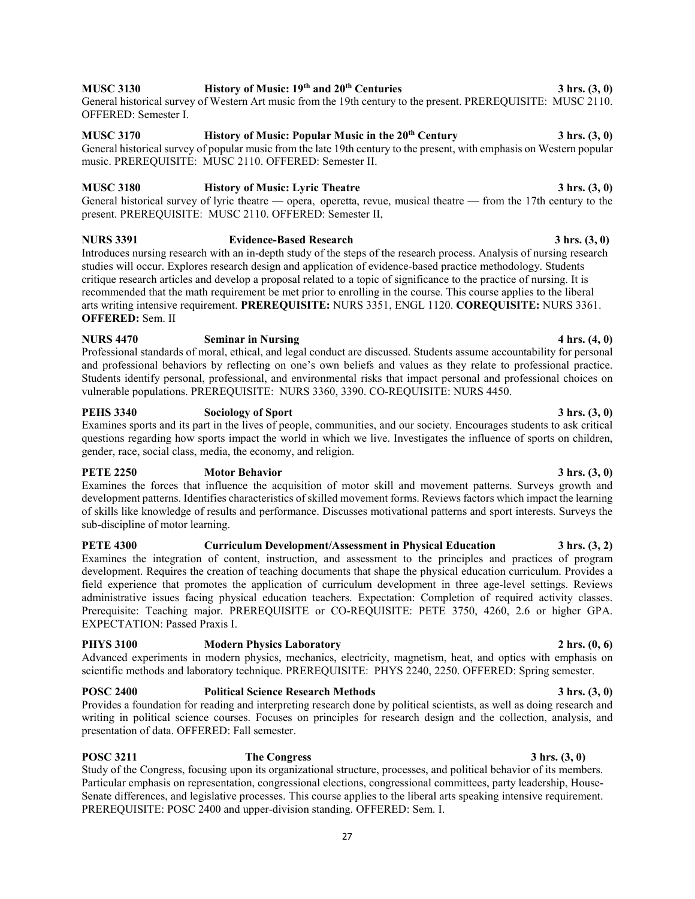## **MUSC 3130 History of Music: 19th and 20th Centuries 3 hrs. (3, 0)**

General historical survey of Western Art music from the 19th century to the present. PREREQUISITE: MUSC 2110. OFFERED: Semester I.

# **MUSC 3170 History of Music: Popular Music in the 20th Century 3 hrs. (3, 0)**

General historical survey of popular music from the late 19th century to the present, with emphasis on Western popular music. PREREQUISITE: MUSC 2110. OFFERED: Semester II.

## **MUSC 3180 History of Music: Lyric Theatre 3 hrs. (3, 0)**

General historical survey of lyric theatre — opera, operetta, revue, musical theatre — from the 17th century to the present. PREREQUISITE: MUSC 2110. OFFERED: Semester II,

## **NURS 3391 Evidence-Based Research 3 hrs. (3, 0)**

Introduces nursing research with an in-depth study of the steps of the research process. Analysis of nursing research studies will occur. Explores research design and application of evidence-based practice methodology. Students critique research articles and develop a proposal related to a topic of significance to the practice of nursing. It is recommended that the math requirement be met prior to enrolling in the course. This course applies to the liberal arts writing intensive requirement. **PREREQUISITE:** NURS 3351, ENGL 1120. **COREQUISITE:** NURS 3361. **OFFERED:** Sem. II

## **NURS 4470 Seminar in Nursing 4 hrs. (4, 0)** Professional standards of moral, ethical, and legal conduct are discussed. Students assume accountability for personal and professional behaviors by reflecting on one's own beliefs and values as they relate to professional practice. Students identify personal, professional, and environmental risks that impact personal and professional choices on vulnerable populations. PREREQUISITE: NURS 3360, 3390. CO-REQUISITE: NURS 4450.

## **PEHS 3340 Sociology of Sport 3 hrs. (3, 0)**

Examines sports and its part in the lives of people, communities, and our society. Encourages students to ask critical questions regarding how sports impact the world in which we live. Investigates the influence of sports on children, gender, race, social class, media, the economy, and religion.

## **PETE 2250 Motor Behavior 3 hrs. (3, 0)**

Examines the forces that influence the acquisition of motor skill and movement patterns. Surveys growth and development patterns. Identifies characteristics of skilled movement forms. Reviews factors which impact the learning of skills like knowledge of results and performance. Discusses motivational patterns and sport interests. Surveys the sub-discipline of motor learning.

## **PETE 4300 Curriculum Development/Assessment in Physical Education 3 hrs. (3, 2)** Examines the integration of content, instruction, and assessment to the principles and practices of program development. Requires the creation of teaching documents that shape the physical education curriculum. Provides a field experience that promotes the application of curriculum development in three age-level settings. Reviews administrative issues facing physical education teachers. Expectation: Completion of required activity classes. Prerequisite: Teaching major. PREREQUISITE or CO-REQUISITE: PETE 3750, 4260, 2.6 or higher GPA. EXPECTATION: Passed Praxis I.

## **PHYS 3100 Modern Physics Laboratory 2 hrs. (0, 6)**

Advanced experiments in modern physics, mechanics, electricity, magnetism, heat, and optics with emphasis on scientific methods and laboratory technique. PREREQUISITE: PHYS 2240, 2250. OFFERED: Spring semester.

## **POSC 2400 Political Science Research Methods 3 hrs. (3, 0)**

Provides a foundation for reading and interpreting research done by political scientists, as well as doing research and writing in political science courses. Focuses on principles for research design and the collection, analysis, and presentation of data. OFFERED: Fall semester.

## **POSC 3211 The Congress 3 hrs. (3, 0) 3 hrs. (3, 0)**

Study of the Congress, focusing upon its organizational structure, processes, and political behavior of its members. Particular emphasis on representation, congressional elections, congressional committees, party leadership, House-Senate differences, and legislative processes. This course applies to the liberal arts speaking intensive requirement. PREREQUISITE: POSC 2400 and upper-division standing. OFFERED: Sem. I.